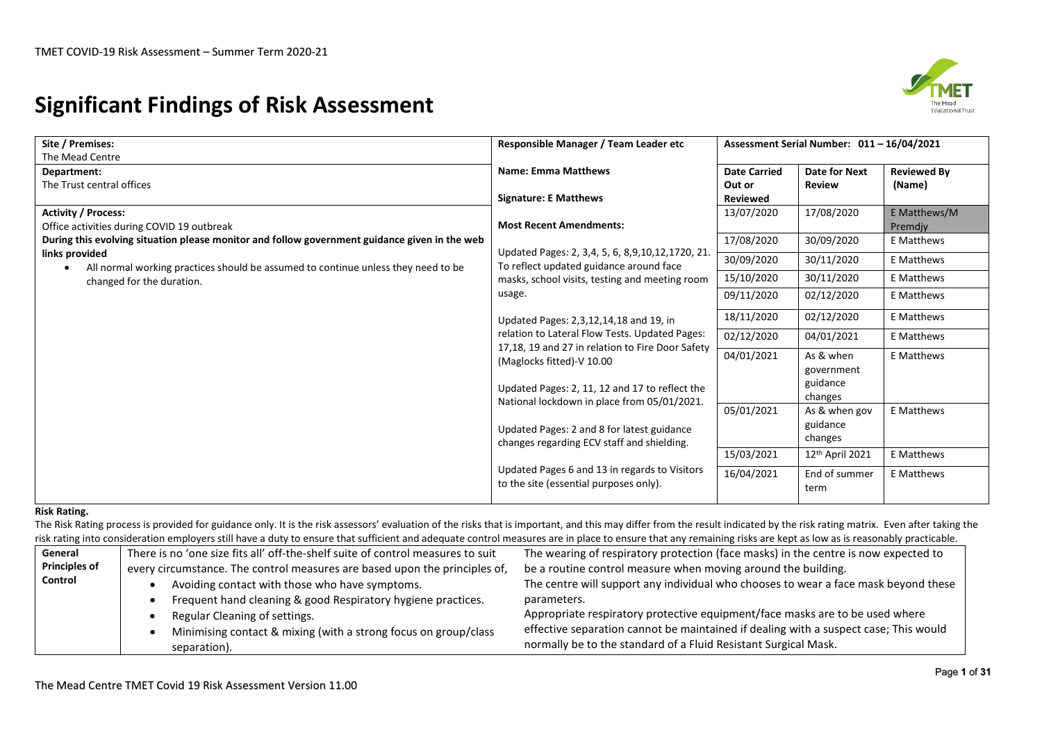# **Significant Findings of Risk Assessment**



| Site / Premises:                                                                                                            | Responsible Manager / Team Leader etc                                                                                                                                          | Assessment Serial Number: 011-16/04/2021  |                                                |                              |  |  |
|-----------------------------------------------------------------------------------------------------------------------------|--------------------------------------------------------------------------------------------------------------------------------------------------------------------------------|-------------------------------------------|------------------------------------------------|------------------------------|--|--|
| The Mead Centre<br>Department:<br>The Trust central offices                                                                 | <b>Name: Emma Matthews</b><br><b>Signature: E Matthews</b>                                                                                                                     | <b>Date Carried</b><br>Out or<br>Reviewed | <b>Date for Next</b><br><b>Review</b>          | <b>Reviewed By</b><br>(Name) |  |  |
| <b>Activity / Process:</b><br>Office activities during COVID 19 outbreak                                                    | <b>Most Recent Amendments:</b>                                                                                                                                                 | 13/07/2020                                | 17/08/2020                                     | E Matthews/M<br>Premdiv      |  |  |
| During this evolving situation please monitor and follow government guidance given in the web                               |                                                                                                                                                                                | 17/08/2020                                | 30/09/2020                                     | E Matthews                   |  |  |
| links provided                                                                                                              | Updated Pages: 2, 3,4, 5, 6, 8,9,10,12,1720, 21.<br>To reflect updated guidance around face                                                                                    | 30/09/2020                                | 30/11/2020                                     | <b>E</b> Matthews            |  |  |
| All normal working practices should be assumed to continue unless they need to be<br>$\bullet$<br>changed for the duration. | masks, school visits, testing and meeting room                                                                                                                                 | 15/10/2020                                | 30/11/2020                                     | E Matthews                   |  |  |
|                                                                                                                             | usage.                                                                                                                                                                         | 09/11/2020                                | 02/12/2020                                     | E Matthews                   |  |  |
|                                                                                                                             | Updated Pages: 2,3,12,14,18 and 19, in                                                                                                                                         | 18/11/2020                                | 02/12/2020                                     | E Matthews                   |  |  |
|                                                                                                                             | relation to Lateral Flow Tests. Updated Pages:                                                                                                                                 | 02/12/2020                                | 04/01/2021                                     | E Matthews                   |  |  |
|                                                                                                                             | 17,18, 19 and 27 in relation to Fire Door Safety<br>(Maglocks fitted)-V 10.00<br>Updated Pages: 2, 11, 12 and 17 to reflect the<br>National lockdown in place from 05/01/2021. | 04/01/2021                                | As & when<br>government<br>guidance<br>changes | E Matthews                   |  |  |
|                                                                                                                             | Updated Pages: 2 and 8 for latest guidance<br>changes regarding ECV staff and shielding.                                                                                       | 05/01/2021                                | As & when gov<br>guidance<br>changes           | <b>E</b> Matthews            |  |  |
|                                                                                                                             |                                                                                                                                                                                | 15/03/2021                                | 12 <sup>th</sup> April 2021                    | E Matthews                   |  |  |
|                                                                                                                             | Updated Pages 6 and 13 in regards to Visitors<br>to the site (essential purposes only).                                                                                        | 16/04/2021                                | End of summer<br>term                          | E Matthews                   |  |  |

### **Risk Rating.**

The Risk Rating process is provided for guidance only. It is the risk assessors' evaluation of the risks that is important, and this may differ from the result indicated by the risk rating matrix. Even after taking the risk rating into consideration employers still have a duty to ensure that sufficient and adequate control measures are in place to ensure that any remaining risks are kept as low as is reasonably practicable.

| General              | There is no 'one size fits all' off-the-shelf suite of control measures to suit | The wearing of respiratory protection (face masks) in the centre is now expected to  |
|----------------------|---------------------------------------------------------------------------------|--------------------------------------------------------------------------------------|
| <b>Principles of</b> | every circumstance. The control measures are based upon the principles of,      | be a routine control measure when moving around the building.                        |
| Control              | Avoiding contact with those who have symptoms.                                  | The centre will support any individual who chooses to wear a face mask beyond these  |
|                      | Frequent hand cleaning & good Respiratory hygiene practices.                    | parameters.                                                                          |
|                      | Regular Cleaning of settings.                                                   | Appropriate respiratory protective equipment/face masks are to be used where         |
|                      | Minimising contact & mixing (with a strong focus on group/class                 | effective separation cannot be maintained if dealing with a suspect case; This would |
|                      | separation).                                                                    | normally be to the standard of a Fluid Resistant Surgical Mask.                      |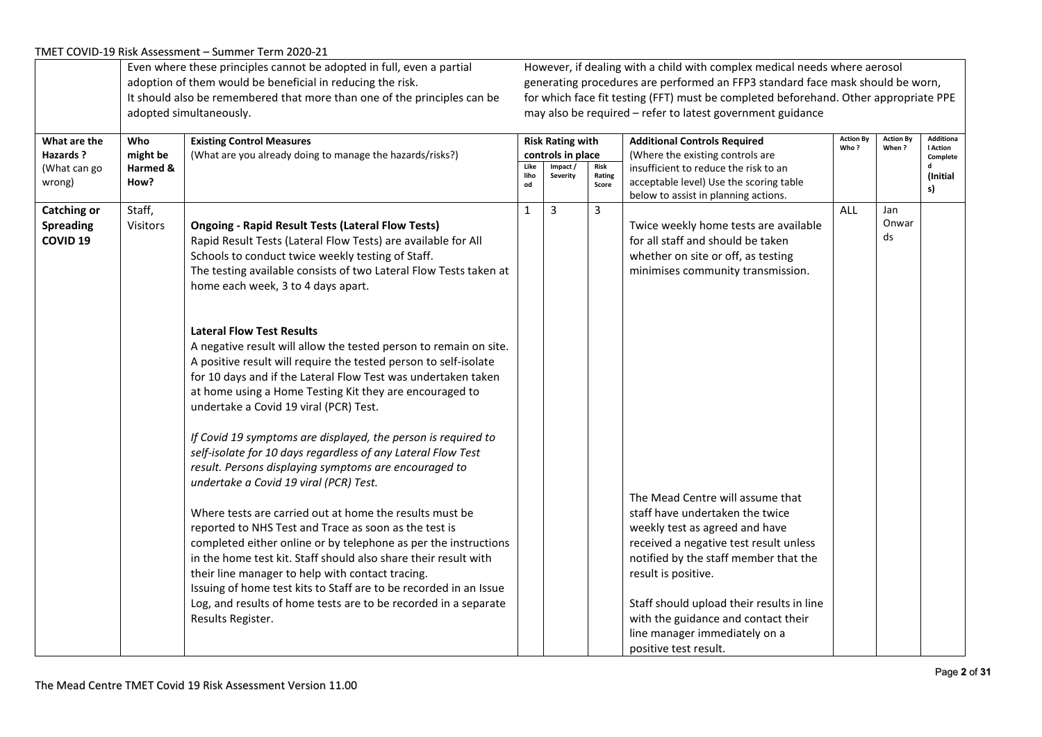|                                                               |                                     | Even where these principles cannot be adopted in full, even a partial<br>adoption of them would be beneficial in reducing the risk.<br>It should also be remembered that more than one of the principles can be<br>adopted simultaneously.                                                                                                                                                                                                                                                                                                                                                                                                                                                                                                                                                                                                                                                                                                                                                                                                                                                                                                                                                                                                                          |                    |                                                                     |                         | However, if dealing with a child with complex medical needs where aerosol<br>generating procedures are performed an FFP3 standard face mask should be worn,<br>for which face fit testing (FFT) must be completed beforehand. Other appropriate PPE<br>may also be required - refer to latest government guidance                                                                                                |                          |                           |                                                                        |
|---------------------------------------------------------------|-------------------------------------|---------------------------------------------------------------------------------------------------------------------------------------------------------------------------------------------------------------------------------------------------------------------------------------------------------------------------------------------------------------------------------------------------------------------------------------------------------------------------------------------------------------------------------------------------------------------------------------------------------------------------------------------------------------------------------------------------------------------------------------------------------------------------------------------------------------------------------------------------------------------------------------------------------------------------------------------------------------------------------------------------------------------------------------------------------------------------------------------------------------------------------------------------------------------------------------------------------------------------------------------------------------------|--------------------|---------------------------------------------------------------------|-------------------------|------------------------------------------------------------------------------------------------------------------------------------------------------------------------------------------------------------------------------------------------------------------------------------------------------------------------------------------------------------------------------------------------------------------|--------------------------|---------------------------|------------------------------------------------------------------------|
| What are the<br>Hazards?<br>(What can go<br>wrong)            | Who<br>might be<br>Harmed &<br>How? | <b>Existing Control Measures</b><br>(What are you already doing to manage the hazards/risks?)                                                                                                                                                                                                                                                                                                                                                                                                                                                                                                                                                                                                                                                                                                                                                                                                                                                                                                                                                                                                                                                                                                                                                                       | Like<br>liho<br>od | <b>Risk Rating with</b><br>controls in place<br>Impact/<br>Severity | Risk<br>Rating<br>Score | <b>Additional Controls Required</b><br>(Where the existing controls are<br>insufficient to reduce the risk to an<br>acceptable level) Use the scoring table                                                                                                                                                                                                                                                      | <b>Action By</b><br>Who? | <b>Action By</b><br>When? | <b>Additiona</b><br><b>I</b> Action<br>Complete<br>d<br>(Initial<br>s) |
| <b>Catching or</b><br><b>Spreading</b><br>COVID <sub>19</sub> | Staff,<br>Visitors                  | <b>Ongoing - Rapid Result Tests (Lateral Flow Tests)</b><br>Rapid Result Tests (Lateral Flow Tests) are available for All<br>Schools to conduct twice weekly testing of Staff.<br>The testing available consists of two Lateral Flow Tests taken at<br>home each week, 3 to 4 days apart.<br><b>Lateral Flow Test Results</b><br>A negative result will allow the tested person to remain on site.<br>A positive result will require the tested person to self-isolate<br>for 10 days and if the Lateral Flow Test was undertaken taken<br>at home using a Home Testing Kit they are encouraged to<br>undertake a Covid 19 viral (PCR) Test.<br>If Covid 19 symptoms are displayed, the person is required to<br>self-isolate for 10 days regardless of any Lateral Flow Test<br>result. Persons displaying symptoms are encouraged to<br>undertake a Covid 19 viral (PCR) Test.<br>Where tests are carried out at home the results must be<br>reported to NHS Test and Trace as soon as the test is<br>completed either online or by telephone as per the instructions<br>in the home test kit. Staff should also share their result with<br>their line manager to help with contact tracing.<br>Issuing of home test kits to Staff are to be recorded in an Issue | 1                  | 3                                                                   | $\mathbf{3}$            | below to assist in planning actions.<br>Twice weekly home tests are available<br>for all staff and should be taken<br>whether on site or off, as testing<br>minimises community transmission.<br>The Mead Centre will assume that<br>staff have undertaken the twice<br>weekly test as agreed and have<br>received a negative test result unless<br>notified by the staff member that the<br>result is positive. | ALL                      | Jan<br>Onwar<br>ds        |                                                                        |
|                                                               |                                     | Log, and results of home tests are to be recorded in a separate<br>Results Register.                                                                                                                                                                                                                                                                                                                                                                                                                                                                                                                                                                                                                                                                                                                                                                                                                                                                                                                                                                                                                                                                                                                                                                                |                    |                                                                     |                         | Staff should upload their results in line<br>with the guidance and contact their<br>line manager immediately on a<br>positive test result.                                                                                                                                                                                                                                                                       |                          |                           |                                                                        |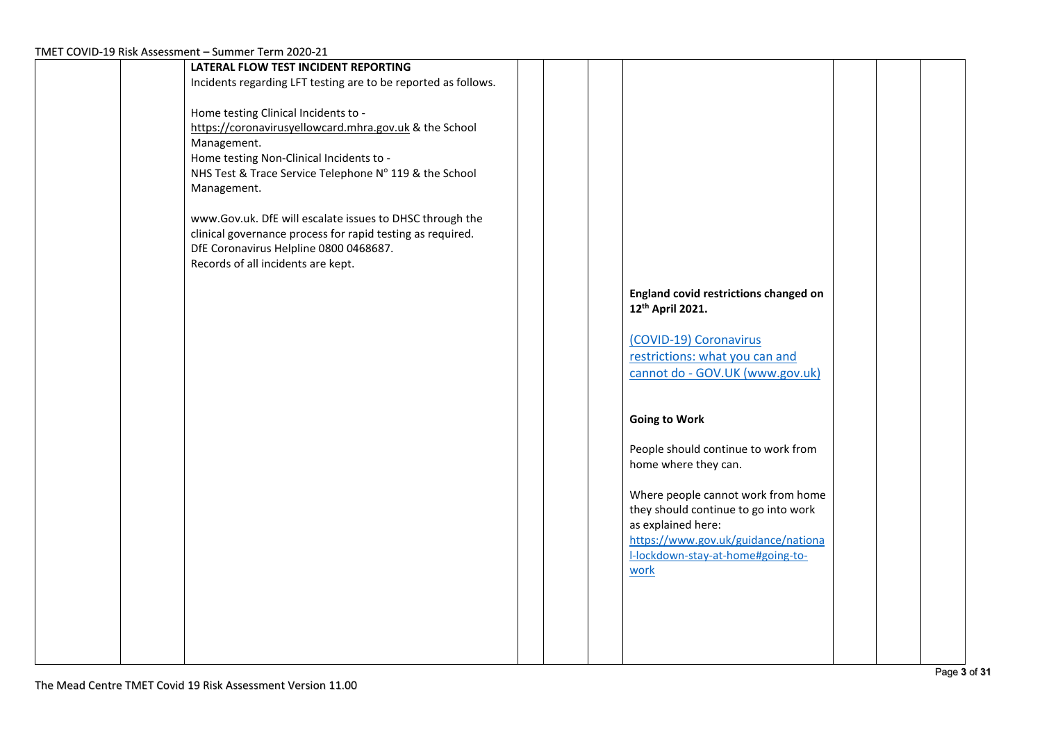| LATERAL FLOW TEST INCIDENT REPORTING                           |  |                                       |  |  |
|----------------------------------------------------------------|--|---------------------------------------|--|--|
| Incidents regarding LFT testing are to be reported as follows. |  |                                       |  |  |
|                                                                |  |                                       |  |  |
| Home testing Clinical Incidents to -                           |  |                                       |  |  |
| https://coronavirusyellowcard.mhra.gov.uk & the School         |  |                                       |  |  |
|                                                                |  |                                       |  |  |
| Management.                                                    |  |                                       |  |  |
| Home testing Non-Clinical Incidents to -                       |  |                                       |  |  |
| NHS Test & Trace Service Telephone Nº 119 & the School         |  |                                       |  |  |
| Management.                                                    |  |                                       |  |  |
|                                                                |  |                                       |  |  |
| www.Gov.uk. DfE will escalate issues to DHSC through the       |  |                                       |  |  |
| clinical governance process for rapid testing as required.     |  |                                       |  |  |
|                                                                |  |                                       |  |  |
| DfE Coronavirus Helpline 0800 0468687.                         |  |                                       |  |  |
| Records of all incidents are kept.                             |  |                                       |  |  |
|                                                                |  |                                       |  |  |
|                                                                |  | England covid restrictions changed on |  |  |
|                                                                |  | 12 <sup>th</sup> April 2021.          |  |  |
|                                                                |  |                                       |  |  |
|                                                                |  | (COVID-19) Coronavirus                |  |  |
|                                                                |  |                                       |  |  |
|                                                                |  | restrictions: what you can and        |  |  |
|                                                                |  | cannot do - GOV.UK (www.gov.uk)       |  |  |
|                                                                |  |                                       |  |  |
|                                                                |  |                                       |  |  |
|                                                                |  | <b>Going to Work</b>                  |  |  |
|                                                                |  |                                       |  |  |
|                                                                |  |                                       |  |  |
|                                                                |  | People should continue to work from   |  |  |
|                                                                |  | home where they can.                  |  |  |
|                                                                |  |                                       |  |  |
|                                                                |  | Where people cannot work from home    |  |  |
|                                                                |  | they should continue to go into work  |  |  |
|                                                                |  | as explained here:                    |  |  |
|                                                                |  | https://www.gov.uk/guidance/nationa   |  |  |
|                                                                |  | I-lockdown-stay-at-home#going-to-     |  |  |
|                                                                |  |                                       |  |  |
|                                                                |  | work                                  |  |  |
|                                                                |  |                                       |  |  |
|                                                                |  |                                       |  |  |
|                                                                |  |                                       |  |  |
|                                                                |  |                                       |  |  |
|                                                                |  |                                       |  |  |
|                                                                |  |                                       |  |  |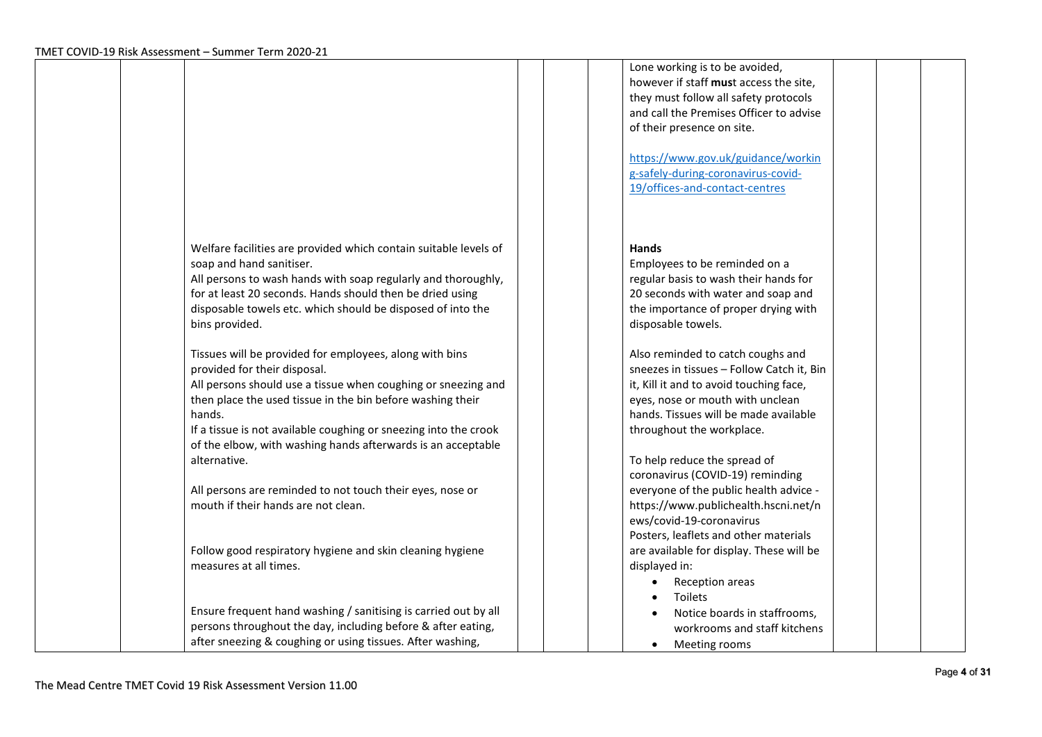|                                                                                                                                                                                                                                                                                                                                                                                                                                                   | Lone working is to be avoided,<br>however if staff must access the site,<br>they must follow all safety protocols<br>and call the Premises Officer to advise<br>of their presence on site.<br>https://www.gov.uk/guidance/workin<br>g-safely-during-coronavirus-covid-<br>19/offices-and-contact-centres                                          |
|---------------------------------------------------------------------------------------------------------------------------------------------------------------------------------------------------------------------------------------------------------------------------------------------------------------------------------------------------------------------------------------------------------------------------------------------------|---------------------------------------------------------------------------------------------------------------------------------------------------------------------------------------------------------------------------------------------------------------------------------------------------------------------------------------------------|
| Welfare facilities are provided which contain suitable levels of<br>soap and hand sanitiser.<br>All persons to wash hands with soap regularly and thoroughly,<br>for at least 20 seconds. Hands should then be dried using<br>disposable towels etc. which should be disposed of into the<br>bins provided.                                                                                                                                       | <b>Hands</b><br>Employees to be reminded on a<br>regular basis to wash their hands for<br>20 seconds with water and soap and<br>the importance of proper drying with<br>disposable towels.                                                                                                                                                        |
| Tissues will be provided for employees, along with bins<br>provided for their disposal.<br>All persons should use a tissue when coughing or sneezing and<br>then place the used tissue in the bin before washing their<br>hands.<br>If a tissue is not available coughing or sneezing into the crook<br>of the elbow, with washing hands afterwards is an acceptable<br>alternative.<br>All persons are reminded to not touch their eyes, nose or | Also reminded to catch coughs and<br>sneezes in tissues - Follow Catch it, Bin<br>it, Kill it and to avoid touching face,<br>eyes, nose or mouth with unclean<br>hands. Tissues will be made available<br>throughout the workplace.<br>To help reduce the spread of<br>coronavirus (COVID-19) reminding<br>everyone of the public health advice - |
| mouth if their hands are not clean.                                                                                                                                                                                                                                                                                                                                                                                                               | https://www.publichealth.hscni.net/n<br>ews/covid-19-coronavirus<br>Posters, leaflets and other materials                                                                                                                                                                                                                                         |
| Follow good respiratory hygiene and skin cleaning hygiene<br>measures at all times.                                                                                                                                                                                                                                                                                                                                                               | are available for display. These will be<br>displayed in:<br>Reception areas<br>Toilets                                                                                                                                                                                                                                                           |
| Ensure frequent hand washing / sanitising is carried out by all<br>persons throughout the day, including before & after eating,<br>after sneezing & coughing or using tissues. After washing,                                                                                                                                                                                                                                                     | Notice boards in staffrooms,<br>workrooms and staff kitchens<br>Meeting rooms<br>$\bullet$                                                                                                                                                                                                                                                        |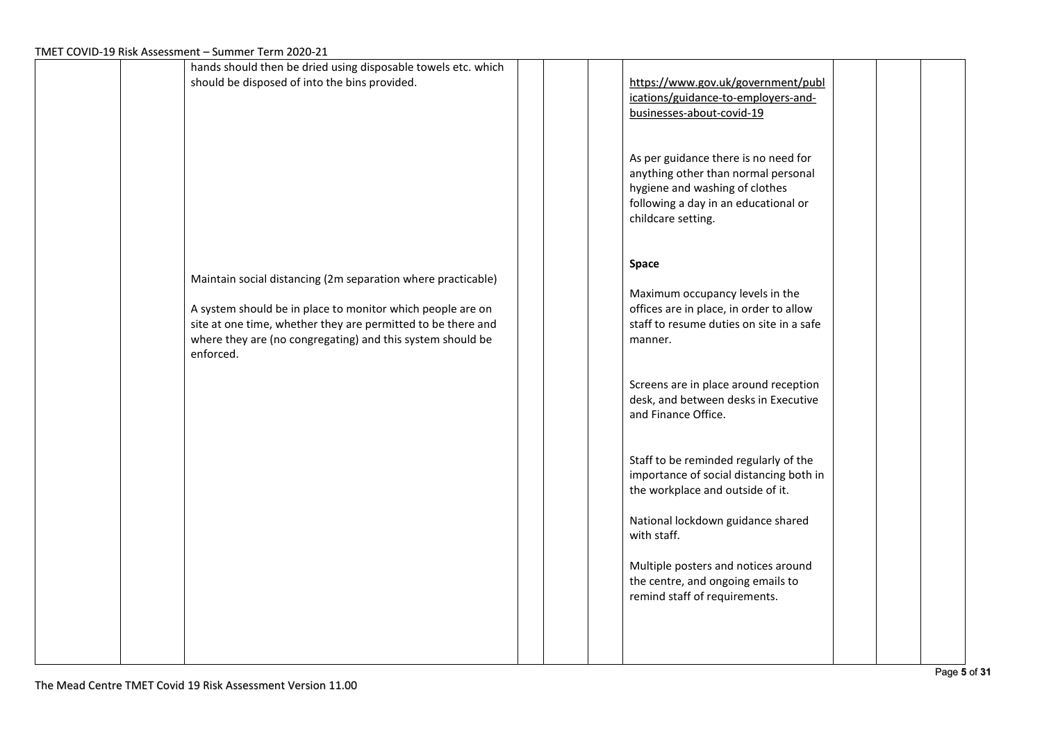| $1$ WET COVID-19 MSK ASSESSMENT – SUMMER TENNIZOZO-ZI                                                                                                                                                                                                                 |                                                                                                                                                                             |
|-----------------------------------------------------------------------------------------------------------------------------------------------------------------------------------------------------------------------------------------------------------------------|-----------------------------------------------------------------------------------------------------------------------------------------------------------------------------|
| hands should then be dried using disposable towels etc. which<br>should be disposed of into the bins provided.                                                                                                                                                        | https://www.gov.uk/government/publ<br>ications/guidance-to-employers-and-<br>businesses-about-covid-19                                                                      |
|                                                                                                                                                                                                                                                                       | As per guidance there is no need for<br>anything other than normal personal<br>hygiene and washing of clothes<br>following a day in an educational or<br>childcare setting. |
| Maintain social distancing (2m separation where practicable)<br>A system should be in place to monitor which people are on<br>site at one time, whether they are permitted to be there and<br>where they are (no congregating) and this system should be<br>enforced. | Space<br>Maximum occupancy levels in the<br>offices are in place, in order to allow<br>staff to resume duties on site in a safe<br>manner.                                  |
|                                                                                                                                                                                                                                                                       | Screens are in place around reception<br>desk, and between desks in Executive<br>and Finance Office.                                                                        |
|                                                                                                                                                                                                                                                                       | Staff to be reminded regularly of the<br>importance of social distancing both in<br>the workplace and outside of it.<br>National lockdown guidance shared                   |
|                                                                                                                                                                                                                                                                       | with staff.<br>Multiple posters and notices around<br>the centre, and ongoing emails to<br>remind staff of requirements.                                                    |
|                                                                                                                                                                                                                                                                       |                                                                                                                                                                             |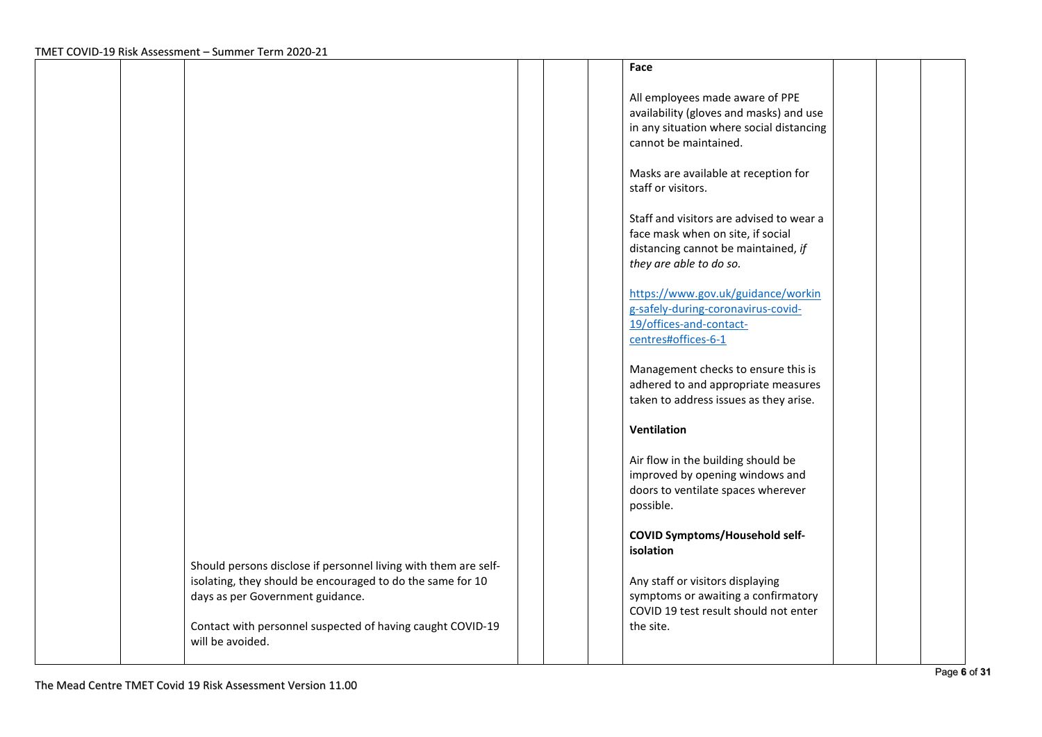|                                                                                                                                                                   | Face                                                                                                                                            |  |
|-------------------------------------------------------------------------------------------------------------------------------------------------------------------|-------------------------------------------------------------------------------------------------------------------------------------------------|--|
|                                                                                                                                                                   | All employees made aware of PPE<br>availability (gloves and masks) and use<br>in any situation where social distancing<br>cannot be maintained. |  |
|                                                                                                                                                                   | Masks are available at reception for<br>staff or visitors.                                                                                      |  |
|                                                                                                                                                                   | Staff and visitors are advised to wear a<br>face mask when on site, if social<br>distancing cannot be maintained, if<br>they are able to do so. |  |
|                                                                                                                                                                   | https://www.gov.uk/guidance/workin<br>g-safely-during-coronavirus-covid-<br>19/offices-and-contact-<br>centres#offices-6-1                      |  |
|                                                                                                                                                                   | Management checks to ensure this is<br>adhered to and appropriate measures<br>taken to address issues as they arise.                            |  |
|                                                                                                                                                                   | Ventilation                                                                                                                                     |  |
|                                                                                                                                                                   | Air flow in the building should be<br>improved by opening windows and<br>doors to ventilate spaces wherever<br>possible.                        |  |
|                                                                                                                                                                   | <b>COVID Symptoms/Household self-</b><br>isolation                                                                                              |  |
| Should persons disclose if personnel living with them are self-<br>isolating, they should be encouraged to do the same for 10<br>days as per Government guidance. | Any staff or visitors displaying<br>symptoms or awaiting a confirmatory<br>COVID 19 test result should not enter                                |  |
| Contact with personnel suspected of having caught COVID-19<br>will be avoided.                                                                                    | the site.                                                                                                                                       |  |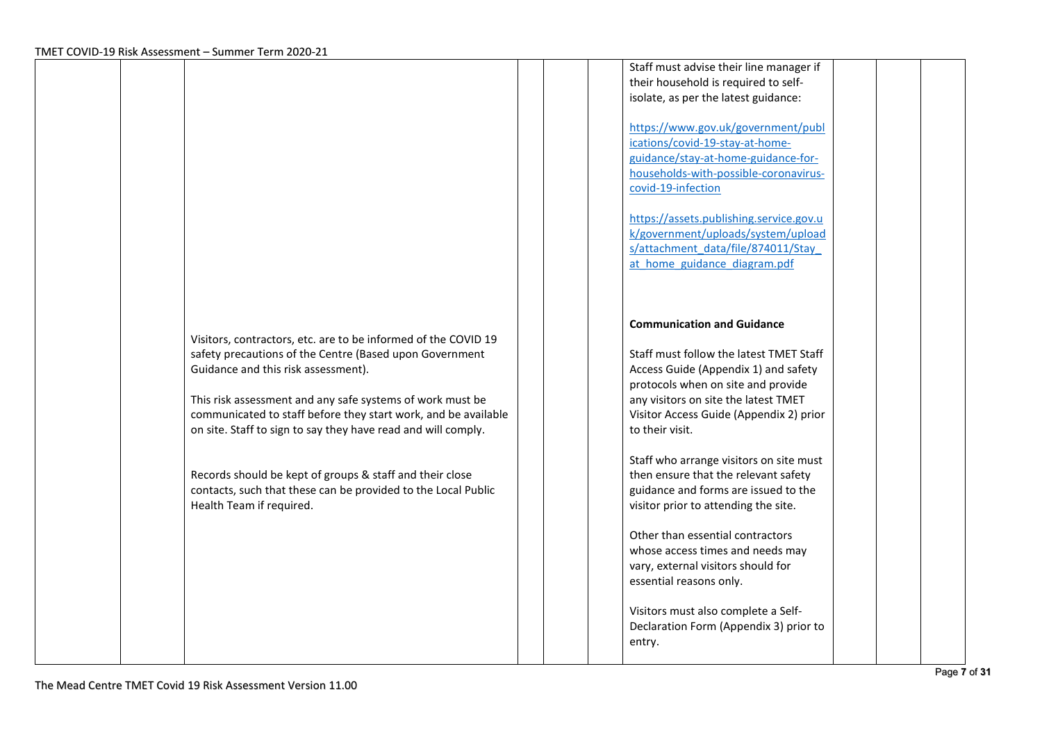|                                                                                                                                                                                                                                                                                                                                                                  | Staff must advise their line manager if<br>their household is required to self-<br>isolate, as per the latest guidance:<br>https://www.gov.uk/government/publ<br>ications/covid-19-stay-at-home-<br>guidance/stay-at-home-guidance-for-<br>households-with-possible-coronavirus-<br>covid-19-infection                                                                                    |        |
|------------------------------------------------------------------------------------------------------------------------------------------------------------------------------------------------------------------------------------------------------------------------------------------------------------------------------------------------------------------|-------------------------------------------------------------------------------------------------------------------------------------------------------------------------------------------------------------------------------------------------------------------------------------------------------------------------------------------------------------------------------------------|--------|
|                                                                                                                                                                                                                                                                                                                                                                  | https://assets.publishing.service.gov.u<br>k/government/uploads/system/upload<br>s/attachment_data/file/874011/Stay<br>at home guidance diagram.pdf                                                                                                                                                                                                                                       |        |
| Visitors, contractors, etc. are to be informed of the COVID 19<br>safety precautions of the Centre (Based upon Government<br>Guidance and this risk assessment).<br>This risk assessment and any safe systems of work must be<br>communicated to staff before they start work, and be available<br>on site. Staff to sign to say they have read and will comply. | <b>Communication and Guidance</b><br>Staff must follow the latest TMET Staff<br>Access Guide (Appendix 1) and safety<br>protocols when on site and provide<br>any visitors on site the latest TMET<br>Visitor Access Guide (Appendix 2) prior<br>to their visit.                                                                                                                          |        |
| Records should be kept of groups & staff and their close<br>contacts, such that these can be provided to the Local Public<br>Health Team if required.                                                                                                                                                                                                            | Staff who arrange visitors on site must<br>then ensure that the relevant safety<br>guidance and forms are issued to the<br>visitor prior to attending the site.<br>Other than essential contractors<br>whose access times and needs may<br>vary, external visitors should for<br>essential reasons only.<br>Visitors must also complete a Self-<br>Declaration Form (Appendix 3) prior to |        |
|                                                                                                                                                                                                                                                                                                                                                                  |                                                                                                                                                                                                                                                                                                                                                                                           | entry. |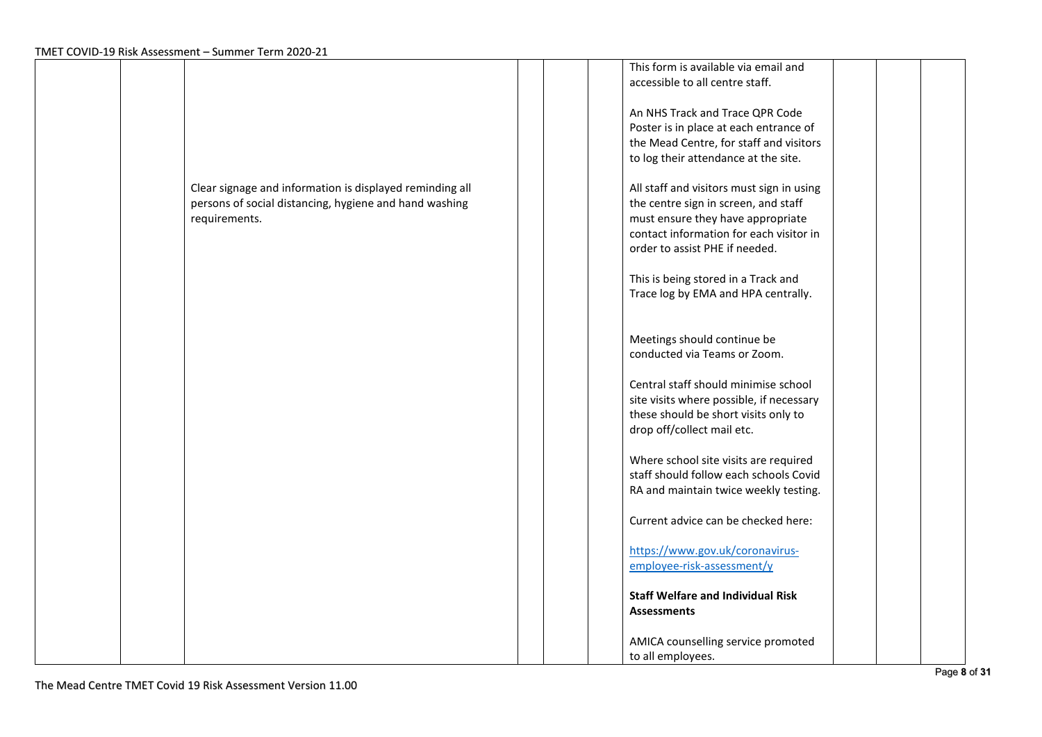|  |                                                          |  | This form is available via email and      |  |
|--|----------------------------------------------------------|--|-------------------------------------------|--|
|  |                                                          |  | accessible to all centre staff.           |  |
|  |                                                          |  |                                           |  |
|  |                                                          |  | An NHS Track and Trace QPR Code           |  |
|  |                                                          |  | Poster is in place at each entrance of    |  |
|  |                                                          |  | the Mead Centre, for staff and visitors   |  |
|  |                                                          |  | to log their attendance at the site.      |  |
|  |                                                          |  |                                           |  |
|  |                                                          |  |                                           |  |
|  | Clear signage and information is displayed reminding all |  | All staff and visitors must sign in using |  |
|  | persons of social distancing, hygiene and hand washing   |  | the centre sign in screen, and staff      |  |
|  | requirements.                                            |  | must ensure they have appropriate         |  |
|  |                                                          |  | contact information for each visitor in   |  |
|  |                                                          |  | order to assist PHE if needed.            |  |
|  |                                                          |  |                                           |  |
|  |                                                          |  | This is being stored in a Track and       |  |
|  |                                                          |  | Trace log by EMA and HPA centrally.       |  |
|  |                                                          |  |                                           |  |
|  |                                                          |  |                                           |  |
|  |                                                          |  | Meetings should continue be               |  |
|  |                                                          |  | conducted via Teams or Zoom.              |  |
|  |                                                          |  |                                           |  |
|  |                                                          |  | Central staff should minimise school      |  |
|  |                                                          |  | site visits where possible, if necessary  |  |
|  |                                                          |  | these should be short visits only to      |  |
|  |                                                          |  | drop off/collect mail etc.                |  |
|  |                                                          |  |                                           |  |
|  |                                                          |  | Where school site visits are required     |  |
|  |                                                          |  | staff should follow each schools Covid    |  |
|  |                                                          |  |                                           |  |
|  |                                                          |  | RA and maintain twice weekly testing.     |  |
|  |                                                          |  | Current advice can be checked here:       |  |
|  |                                                          |  |                                           |  |
|  |                                                          |  | https://www.gov.uk/coronavirus-           |  |
|  |                                                          |  |                                           |  |
|  |                                                          |  | employee-risk-assessment/y                |  |
|  |                                                          |  | <b>Staff Welfare and Individual Risk</b>  |  |
|  |                                                          |  |                                           |  |
|  |                                                          |  | <b>Assessments</b>                        |  |
|  |                                                          |  |                                           |  |
|  |                                                          |  | AMICA counselling service promoted        |  |
|  |                                                          |  | to all employees.                         |  |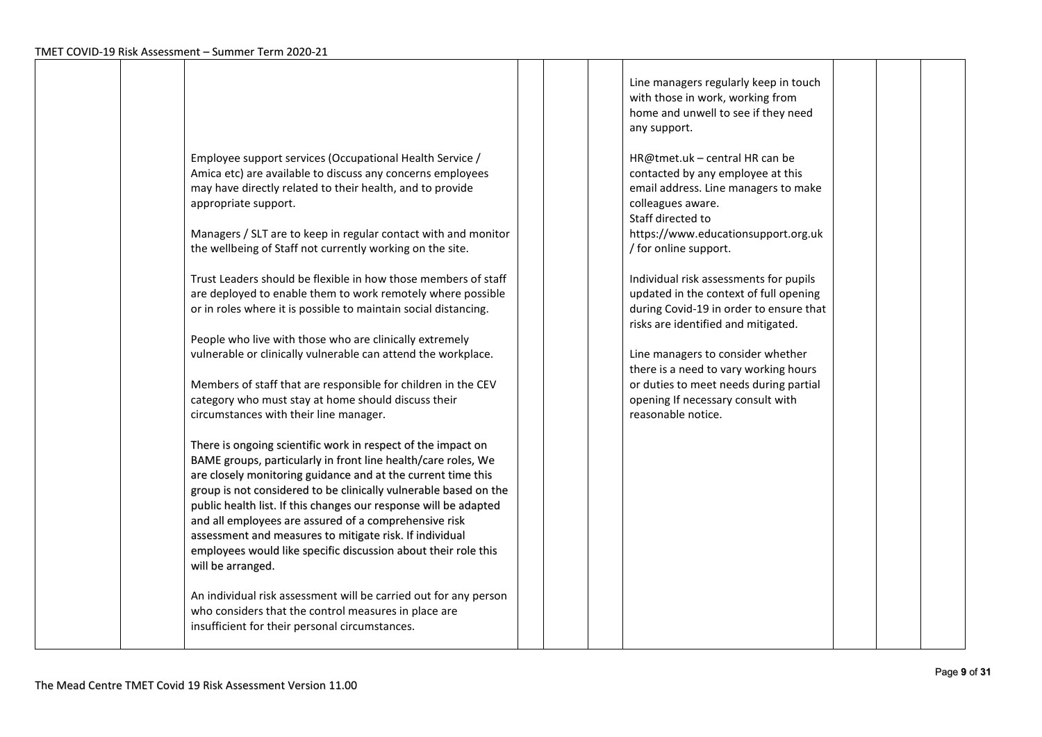|                                                                                                                                                                                                                                                                                                                                                                                                                                                                                                                                                                                                                                                                                                                                                                                                                                                                                                                                                                                                                                                                                                                                                                                                                                                                                                                                                                                                                                                                                                                                                                                |  | Line managers regularly keep in touch<br>with those in work, working from<br>home and unwell to see if they need<br>any support.                                                                                                                                                                                                                                                                                                                                                                                                                                               |  |  |
|--------------------------------------------------------------------------------------------------------------------------------------------------------------------------------------------------------------------------------------------------------------------------------------------------------------------------------------------------------------------------------------------------------------------------------------------------------------------------------------------------------------------------------------------------------------------------------------------------------------------------------------------------------------------------------------------------------------------------------------------------------------------------------------------------------------------------------------------------------------------------------------------------------------------------------------------------------------------------------------------------------------------------------------------------------------------------------------------------------------------------------------------------------------------------------------------------------------------------------------------------------------------------------------------------------------------------------------------------------------------------------------------------------------------------------------------------------------------------------------------------------------------------------------------------------------------------------|--|--------------------------------------------------------------------------------------------------------------------------------------------------------------------------------------------------------------------------------------------------------------------------------------------------------------------------------------------------------------------------------------------------------------------------------------------------------------------------------------------------------------------------------------------------------------------------------|--|--|
| Employee support services (Occupational Health Service /<br>Amica etc) are available to discuss any concerns employees<br>may have directly related to their health, and to provide<br>appropriate support.<br>Managers / SLT are to keep in regular contact with and monitor<br>the wellbeing of Staff not currently working on the site.<br>Trust Leaders should be flexible in how those members of staff<br>are deployed to enable them to work remotely where possible<br>or in roles where it is possible to maintain social distancing.<br>People who live with those who are clinically extremely<br>vulnerable or clinically vulnerable can attend the workplace.<br>Members of staff that are responsible for children in the CEV<br>category who must stay at home should discuss their<br>circumstances with their line manager.<br>There is ongoing scientific work in respect of the impact on<br>BAME groups, particularly in front line health/care roles, We<br>are closely monitoring guidance and at the current time this<br>group is not considered to be clinically vulnerable based on the<br>public health list. If this changes our response will be adapted<br>and all employees are assured of a comprehensive risk<br>assessment and measures to mitigate risk. If individual<br>employees would like specific discussion about their role this<br>will be arranged.<br>An individual risk assessment will be carried out for any person<br>who considers that the control measures in place are<br>insufficient for their personal circumstances. |  | HR@tmet.uk - central HR can be<br>contacted by any employee at this<br>email address. Line managers to make<br>colleagues aware.<br>Staff directed to<br>https://www.educationsupport.org.uk<br>/ for online support.<br>Individual risk assessments for pupils<br>updated in the context of full opening<br>during Covid-19 in order to ensure that<br>risks are identified and mitigated.<br>Line managers to consider whether<br>there is a need to vary working hours<br>or duties to meet needs during partial<br>opening If necessary consult with<br>reasonable notice. |  |  |
|                                                                                                                                                                                                                                                                                                                                                                                                                                                                                                                                                                                                                                                                                                                                                                                                                                                                                                                                                                                                                                                                                                                                                                                                                                                                                                                                                                                                                                                                                                                                                                                |  |                                                                                                                                                                                                                                                                                                                                                                                                                                                                                                                                                                                |  |  |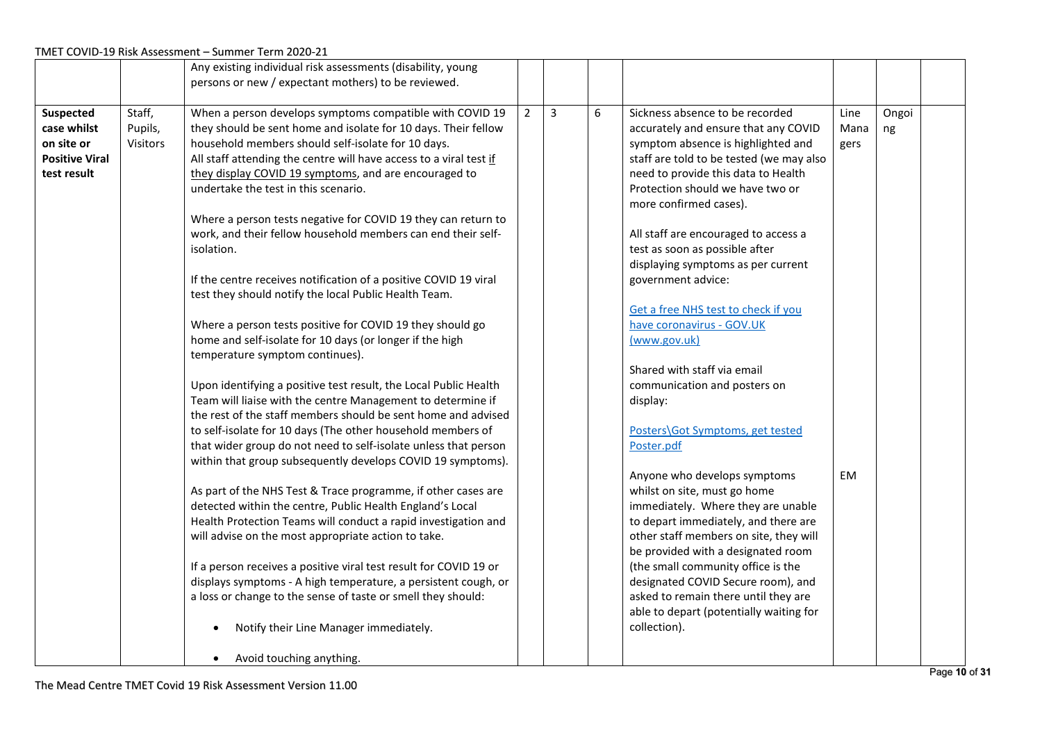|                                      |          | Any existing individual risk assessments (disability, young                                   |                |                         |   |                                                                         |      |       |  |
|--------------------------------------|----------|-----------------------------------------------------------------------------------------------|----------------|-------------------------|---|-------------------------------------------------------------------------|------|-------|--|
|                                      |          | persons or new / expectant mothers) to be reviewed.                                           |                |                         |   |                                                                         |      |       |  |
|                                      |          |                                                                                               |                |                         |   |                                                                         |      |       |  |
| Suspected                            | Staff,   | When a person develops symptoms compatible with COVID 19                                      | $\overline{2}$ | $\overline{\mathbf{3}}$ | 6 | Sickness absence to be recorded                                         | Line | Ongoi |  |
| case whilst                          | Pupils,  | they should be sent home and isolate for 10 days. Their fellow                                |                |                         |   | accurately and ensure that any COVID                                    | Mana | ng    |  |
| on site or                           | Visitors | household members should self-isolate for 10 days.                                            |                |                         |   | symptom absence is highlighted and                                      | gers |       |  |
| <b>Positive Viral</b><br>test result |          | All staff attending the centre will have access to a viral test if                            |                |                         |   | staff are told to be tested (we may also                                |      |       |  |
|                                      |          | they display COVID 19 symptoms, and are encouraged to<br>undertake the test in this scenario. |                |                         |   | need to provide this data to Health<br>Protection should we have two or |      |       |  |
|                                      |          |                                                                                               |                |                         |   | more confirmed cases).                                                  |      |       |  |
|                                      |          | Where a person tests negative for COVID 19 they can return to                                 |                |                         |   |                                                                         |      |       |  |
|                                      |          | work, and their fellow household members can end their self-                                  |                |                         |   | All staff are encouraged to access a                                    |      |       |  |
|                                      |          | isolation.                                                                                    |                |                         |   | test as soon as possible after                                          |      |       |  |
|                                      |          |                                                                                               |                |                         |   | displaying symptoms as per current                                      |      |       |  |
|                                      |          | If the centre receives notification of a positive COVID 19 viral                              |                |                         |   | government advice:                                                      |      |       |  |
|                                      |          | test they should notify the local Public Health Team.                                         |                |                         |   |                                                                         |      |       |  |
|                                      |          |                                                                                               |                |                         |   | Get a free NHS test to check if you                                     |      |       |  |
|                                      |          | Where a person tests positive for COVID 19 they should go                                     |                |                         |   | have coronavirus - GOV.UK                                               |      |       |  |
|                                      |          | home and self-isolate for 10 days (or longer if the high                                      |                |                         |   | (www.gov.uk)                                                            |      |       |  |
|                                      |          | temperature symptom continues).                                                               |                |                         |   |                                                                         |      |       |  |
|                                      |          |                                                                                               |                |                         |   | Shared with staff via email                                             |      |       |  |
|                                      |          | Upon identifying a positive test result, the Local Public Health                              |                |                         |   | communication and posters on                                            |      |       |  |
|                                      |          | Team will liaise with the centre Management to determine if                                   |                |                         |   | display:                                                                |      |       |  |
|                                      |          | the rest of the staff members should be sent home and advised                                 |                |                         |   |                                                                         |      |       |  |
|                                      |          | to self-isolate for 10 days (The other household members of                                   |                |                         |   | Posters\Got Symptoms, get tested                                        |      |       |  |
|                                      |          | that wider group do not need to self-isolate unless that person                               |                |                         |   | Poster.pdf                                                              |      |       |  |
|                                      |          | within that group subsequently develops COVID 19 symptoms).                                   |                |                         |   |                                                                         |      |       |  |
|                                      |          |                                                                                               |                |                         |   | Anyone who develops symptoms                                            | EM   |       |  |
|                                      |          | As part of the NHS Test & Trace programme, if other cases are                                 |                |                         |   | whilst on site, must go home                                            |      |       |  |
|                                      |          | detected within the centre, Public Health England's Local                                     |                |                         |   | immediately. Where they are unable                                      |      |       |  |
|                                      |          | Health Protection Teams will conduct a rapid investigation and                                |                |                         |   | to depart immediately, and there are                                    |      |       |  |
|                                      |          | will advise on the most appropriate action to take.                                           |                |                         |   | other staff members on site, they will                                  |      |       |  |
|                                      |          |                                                                                               |                |                         |   | be provided with a designated room                                      |      |       |  |
|                                      |          | If a person receives a positive viral test result for COVID 19 or                             |                |                         |   | (the small community office is the                                      |      |       |  |
|                                      |          | displays symptoms - A high temperature, a persistent cough, or                                |                |                         |   | designated COVID Secure room), and                                      |      |       |  |
|                                      |          | a loss or change to the sense of taste or smell they should:                                  |                |                         |   | asked to remain there until they are                                    |      |       |  |
|                                      |          |                                                                                               |                |                         |   | able to depart (potentially waiting for                                 |      |       |  |
|                                      |          | Notify their Line Manager immediately.                                                        |                |                         |   | collection).                                                            |      |       |  |
|                                      |          |                                                                                               |                |                         |   |                                                                         |      |       |  |
|                                      |          | Avoid touching anything.                                                                      |                |                         |   |                                                                         |      |       |  |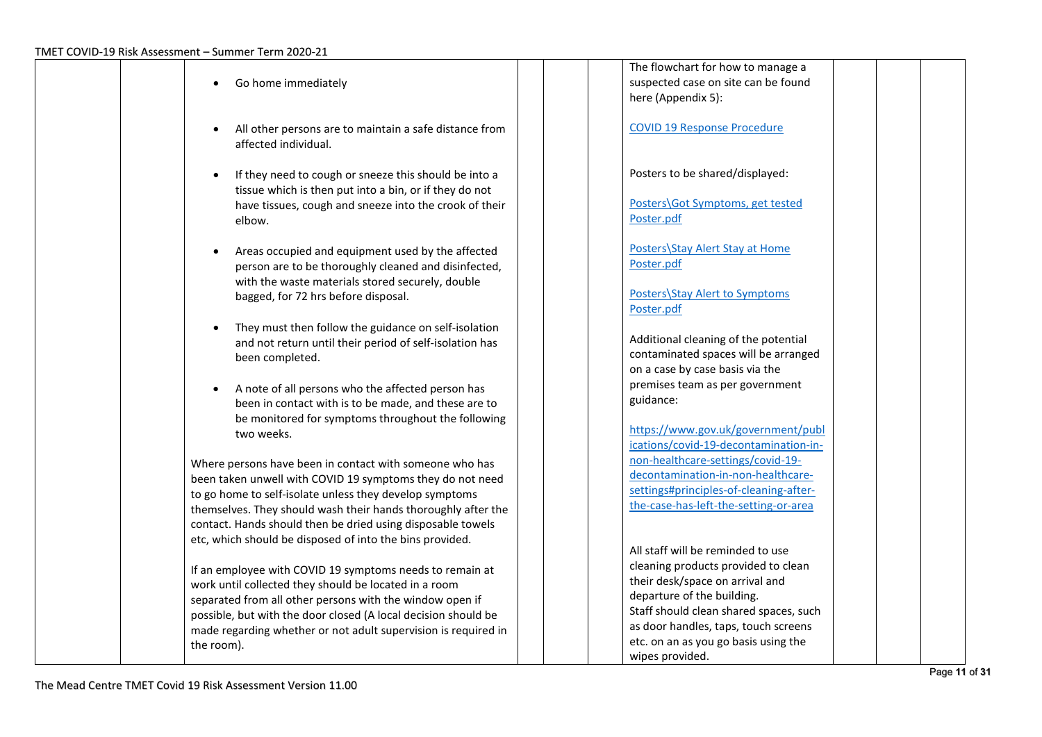| Go home immediately                                                                                                                                                                          | The flowchart for how to manage a<br>suspected case on site can be found                                         |
|----------------------------------------------------------------------------------------------------------------------------------------------------------------------------------------------|------------------------------------------------------------------------------------------------------------------|
| All other persons are to maintain a safe distance from                                                                                                                                       | here (Appendix 5):<br><b>COVID 19 Response Procedure</b>                                                         |
| affected individual.                                                                                                                                                                         | Posters to be shared/displayed:                                                                                  |
| If they need to cough or sneeze this should be into a<br>tissue which is then put into a bin, or if they do not<br>have tissues, cough and sneeze into the crook of their                    | Posters\Got Symptoms, get tested                                                                                 |
| elbow.                                                                                                                                                                                       | Poster.pdf                                                                                                       |
| Areas occupied and equipment used by the affected<br>person are to be thoroughly cleaned and disinfected,<br>with the waste materials stored securely, double                                | Posters\Stay Alert Stay at Home<br>Poster.pdf                                                                    |
| bagged, for 72 hrs before disposal.                                                                                                                                                          | <b>Posters\Stay Alert to Symptoms</b><br>Poster.pdf                                                              |
| They must then follow the guidance on self-isolation<br>and not return until their period of self-isolation has<br>been completed.                                                           | Additional cleaning of the potential<br>contaminated spaces will be arranged                                     |
| A note of all persons who the affected person has                                                                                                                                            | on a case by case basis via the<br>premises team as per government<br>guidance:                                  |
| been in contact with is to be made, and these are to<br>be monitored for symptoms throughout the following<br>two weeks.                                                                     | https://www.gov.uk/government/publ                                                                               |
| Where persons have been in contact with someone who has<br>been taken unwell with COVID 19 symptoms they do not need                                                                         | ications/covid-19-decontamination-in-<br>non-healthcare-settings/covid-19-<br>decontamination-in-non-healthcare- |
| to go home to self-isolate unless they develop symptoms<br>themselves. They should wash their hands thoroughly after the                                                                     | settings#principles-of-cleaning-after-<br>the-case-has-left-the-setting-or-area                                  |
| contact. Hands should then be dried using disposable towels<br>etc, which should be disposed of into the bins provided.                                                                      | All staff will be reminded to use                                                                                |
| If an employee with COVID 19 symptoms needs to remain at<br>work until collected they should be located in a room                                                                            | cleaning products provided to clean<br>their desk/space on arrival and                                           |
| separated from all other persons with the window open if<br>possible, but with the door closed (A local decision should be<br>made regarding whether or not adult supervision is required in | departure of the building.<br>Staff should clean shared spaces, such<br>as door handles, taps, touch screens     |
| the room).                                                                                                                                                                                   | etc. on an as you go basis using the<br>wipes provided.                                                          |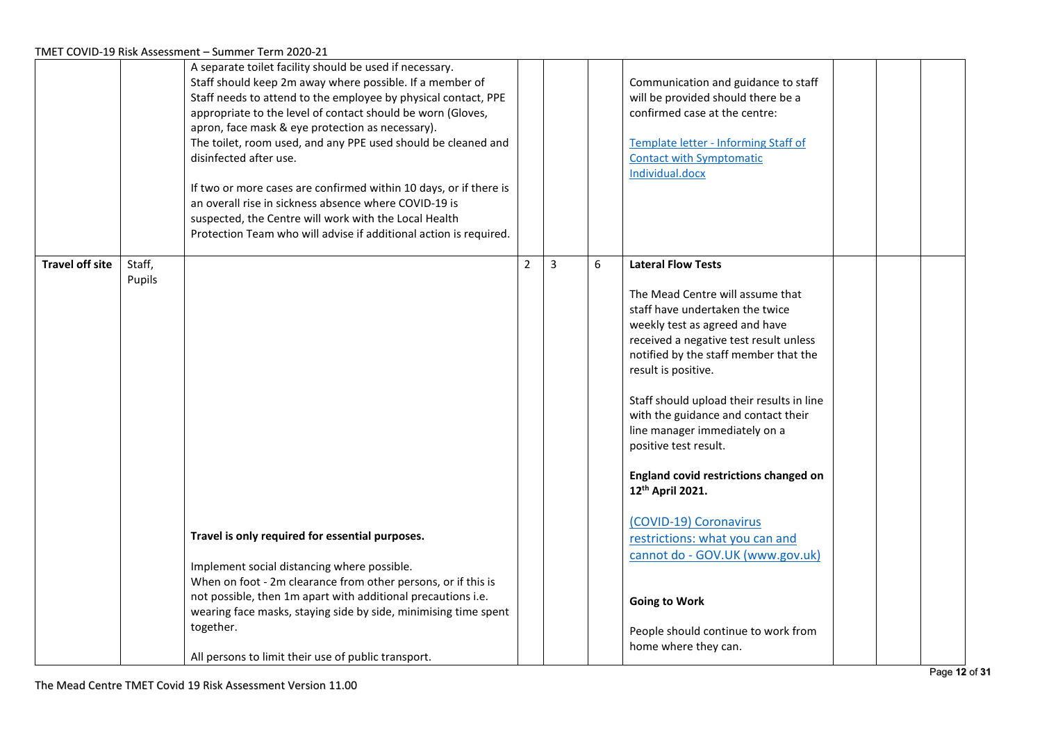|                        |                  | A separate toilet facility should be used if necessary.<br>Staff should keep 2m away where possible. If a member of<br>Staff needs to attend to the employee by physical contact, PPE<br>appropriate to the level of contact should be worn (Gloves,<br>apron, face mask & eye protection as necessary).<br>The toilet, room used, and any PPE used should be cleaned and<br>disinfected after use.<br>If two or more cases are confirmed within 10 days, or if there is<br>an overall rise in sickness absence where COVID-19 is<br>suspected, the Centre will work with the Local Health<br>Protection Team who will advise if additional action is required. |                |                |   | Communication and guidance to staff<br>will be provided should there be a<br>confirmed case at the centre:<br>Template letter - Informing Staff of<br><b>Contact with Symptomatic</b><br>Individual.docx |  |  |
|------------------------|------------------|-----------------------------------------------------------------------------------------------------------------------------------------------------------------------------------------------------------------------------------------------------------------------------------------------------------------------------------------------------------------------------------------------------------------------------------------------------------------------------------------------------------------------------------------------------------------------------------------------------------------------------------------------------------------|----------------|----------------|---|----------------------------------------------------------------------------------------------------------------------------------------------------------------------------------------------------------|--|--|
| <b>Travel off site</b> | Staff,<br>Pupils |                                                                                                                                                                                                                                                                                                                                                                                                                                                                                                                                                                                                                                                                 | $\overline{2}$ | $\overline{3}$ | 6 | <b>Lateral Flow Tests</b><br>The Mead Centre will assume that                                                                                                                                            |  |  |
|                        |                  |                                                                                                                                                                                                                                                                                                                                                                                                                                                                                                                                                                                                                                                                 |                |                |   | staff have undertaken the twice                                                                                                                                                                          |  |  |
|                        |                  |                                                                                                                                                                                                                                                                                                                                                                                                                                                                                                                                                                                                                                                                 |                |                |   | weekly test as agreed and have                                                                                                                                                                           |  |  |
|                        |                  |                                                                                                                                                                                                                                                                                                                                                                                                                                                                                                                                                                                                                                                                 |                |                |   | received a negative test result unless<br>notified by the staff member that the                                                                                                                          |  |  |
|                        |                  |                                                                                                                                                                                                                                                                                                                                                                                                                                                                                                                                                                                                                                                                 |                |                |   | result is positive.                                                                                                                                                                                      |  |  |
|                        |                  |                                                                                                                                                                                                                                                                                                                                                                                                                                                                                                                                                                                                                                                                 |                |                |   | Staff should upload their results in line                                                                                                                                                                |  |  |
|                        |                  |                                                                                                                                                                                                                                                                                                                                                                                                                                                                                                                                                                                                                                                                 |                |                |   | with the guidance and contact their<br>line manager immediately on a                                                                                                                                     |  |  |
|                        |                  |                                                                                                                                                                                                                                                                                                                                                                                                                                                                                                                                                                                                                                                                 |                |                |   | positive test result.                                                                                                                                                                                    |  |  |
|                        |                  |                                                                                                                                                                                                                                                                                                                                                                                                                                                                                                                                                                                                                                                                 |                |                |   | England covid restrictions changed on<br>12th April 2021.                                                                                                                                                |  |  |
|                        |                  |                                                                                                                                                                                                                                                                                                                                                                                                                                                                                                                                                                                                                                                                 |                |                |   | (COVID-19) Coronavirus                                                                                                                                                                                   |  |  |
|                        |                  | Travel is only required for essential purposes.                                                                                                                                                                                                                                                                                                                                                                                                                                                                                                                                                                                                                 |                |                |   | restrictions: what you can and                                                                                                                                                                           |  |  |
|                        |                  | Implement social distancing where possible.                                                                                                                                                                                                                                                                                                                                                                                                                                                                                                                                                                                                                     |                |                |   | cannot do - GOV.UK (www.gov.uk)                                                                                                                                                                          |  |  |
|                        |                  | When on foot - 2m clearance from other persons, or if this is<br>not possible, then 1m apart with additional precautions i.e.                                                                                                                                                                                                                                                                                                                                                                                                                                                                                                                                   |                |                |   |                                                                                                                                                                                                          |  |  |
|                        |                  | wearing face masks, staying side by side, minimising time spent                                                                                                                                                                                                                                                                                                                                                                                                                                                                                                                                                                                                 |                |                |   | <b>Going to Work</b>                                                                                                                                                                                     |  |  |
|                        |                  | together.                                                                                                                                                                                                                                                                                                                                                                                                                                                                                                                                                                                                                                                       |                |                |   | People should continue to work from                                                                                                                                                                      |  |  |
|                        |                  | All persons to limit their use of public transport.                                                                                                                                                                                                                                                                                                                                                                                                                                                                                                                                                                                                             |                |                |   | home where they can.                                                                                                                                                                                     |  |  |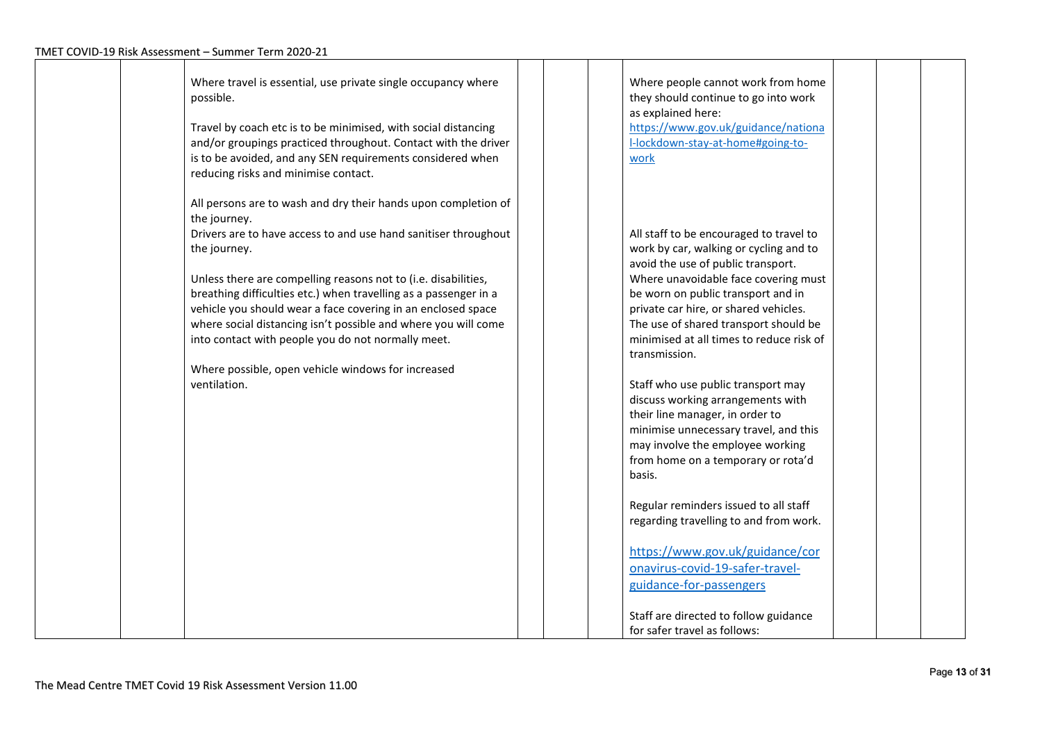| Where travel is essential, use private single occupancy where<br>possible.<br>Travel by coach etc is to be minimised, with social distancing<br>and/or groupings practiced throughout. Contact with the driver<br>is to be avoided, and any SEN requirements considered when<br>reducing risks and minimise contact.                                                                                                                                                                            | Where people cannot work from home<br>they should continue to go into work<br>as explained here:<br>https://www.gov.uk/guidance/nationa<br>I-lockdown-stay-at-home#going-to-<br>work                                                                                                                                                |
|-------------------------------------------------------------------------------------------------------------------------------------------------------------------------------------------------------------------------------------------------------------------------------------------------------------------------------------------------------------------------------------------------------------------------------------------------------------------------------------------------|-------------------------------------------------------------------------------------------------------------------------------------------------------------------------------------------------------------------------------------------------------------------------------------------------------------------------------------|
| All persons are to wash and dry their hands upon completion of<br>the journey.<br>Drivers are to have access to and use hand sanitiser throughout<br>the journey.<br>Unless there are compelling reasons not to (i.e. disabilities,<br>breathing difficulties etc.) when travelling as a passenger in a<br>vehicle you should wear a face covering in an enclosed space<br>where social distancing isn't possible and where you will come<br>into contact with people you do not normally meet. | All staff to be encouraged to travel to<br>work by car, walking or cycling and to<br>avoid the use of public transport.<br>Where unavoidable face covering must<br>be worn on public transport and in<br>private car hire, or shared vehicles.<br>The use of shared transport should be<br>minimised at all times to reduce risk of |
| Where possible, open vehicle windows for increased<br>ventilation.                                                                                                                                                                                                                                                                                                                                                                                                                              | transmission.<br>Staff who use public transport may<br>discuss working arrangements with                                                                                                                                                                                                                                            |
|                                                                                                                                                                                                                                                                                                                                                                                                                                                                                                 | their line manager, in order to<br>minimise unnecessary travel, and this<br>may involve the employee working<br>from home on a temporary or rota'd<br>basis.                                                                                                                                                                        |
|                                                                                                                                                                                                                                                                                                                                                                                                                                                                                                 | Regular reminders issued to all staff<br>regarding travelling to and from work.                                                                                                                                                                                                                                                     |
|                                                                                                                                                                                                                                                                                                                                                                                                                                                                                                 | https://www.gov.uk/guidance/cor<br>onavirus-covid-19-safer-travel-<br>guidance-for-passengers                                                                                                                                                                                                                                       |
|                                                                                                                                                                                                                                                                                                                                                                                                                                                                                                 | Staff are directed to follow guidance<br>for safer travel as follows:                                                                                                                                                                                                                                                               |

 $\mathbf \tau$ 

┯

┯

᠇

┯

┯

┓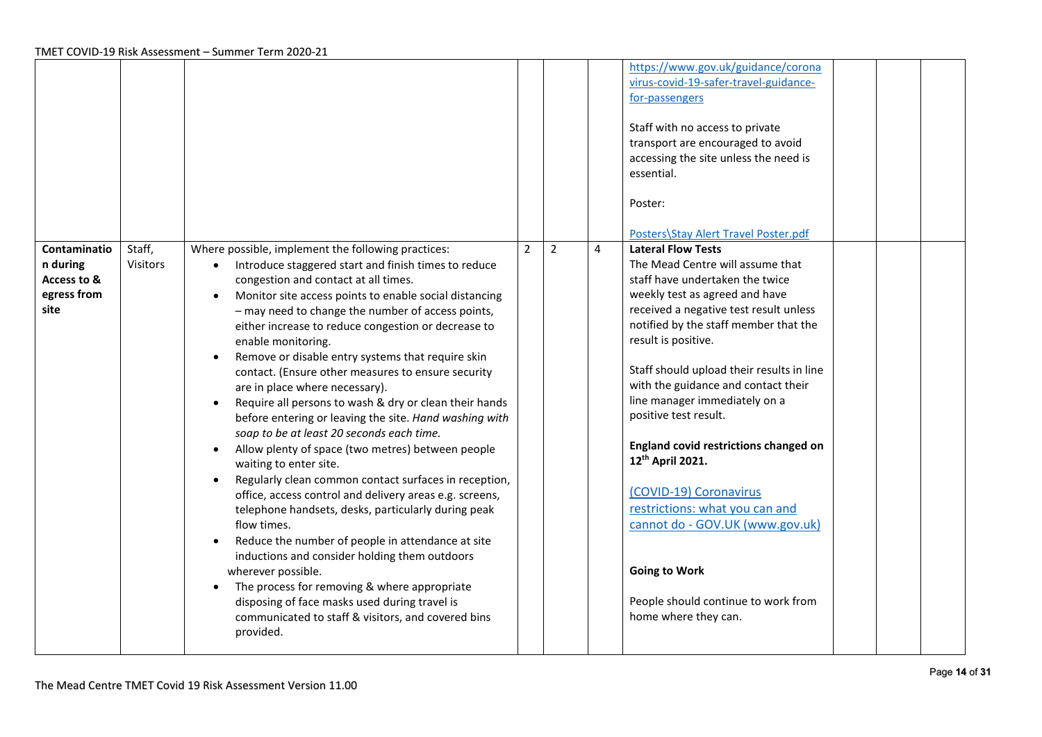|                                                                |                           |                                                                                                                                                                                                                                                                                                                                                                                                                                                                                                                                                                                                                                                                                                                                                                                                                                                                                                                                                                                                                                                                                                                                                                                                                                                                                                                                               |                |                |                | https://www.gov.uk/guidance/corona<br>virus-covid-19-safer-travel-guidance-<br>for-passengers<br>Staff with no access to private<br>transport are encouraged to avoid<br>accessing the site unless the need is<br>essential.<br>Poster:<br>Posters\Stay Alert Travel Poster.pdf                                                                                                                                                                                                                                                                                                                                                                           |
|----------------------------------------------------------------|---------------------------|-----------------------------------------------------------------------------------------------------------------------------------------------------------------------------------------------------------------------------------------------------------------------------------------------------------------------------------------------------------------------------------------------------------------------------------------------------------------------------------------------------------------------------------------------------------------------------------------------------------------------------------------------------------------------------------------------------------------------------------------------------------------------------------------------------------------------------------------------------------------------------------------------------------------------------------------------------------------------------------------------------------------------------------------------------------------------------------------------------------------------------------------------------------------------------------------------------------------------------------------------------------------------------------------------------------------------------------------------|----------------|----------------|----------------|-----------------------------------------------------------------------------------------------------------------------------------------------------------------------------------------------------------------------------------------------------------------------------------------------------------------------------------------------------------------------------------------------------------------------------------------------------------------------------------------------------------------------------------------------------------------------------------------------------------------------------------------------------------|
| Contaminatio<br>n during<br>Access to &<br>egress from<br>site | Staff,<br><b>Visitors</b> | Where possible, implement the following practices:<br>Introduce staggered start and finish times to reduce<br>$\bullet$<br>congestion and contact at all times.<br>Monitor site access points to enable social distancing<br>$\bullet$<br>- may need to change the number of access points,<br>either increase to reduce congestion or decrease to<br>enable monitoring.<br>Remove or disable entry systems that require skin<br>$\bullet$<br>contact. (Ensure other measures to ensure security<br>are in place where necessary).<br>Require all persons to wash & dry or clean their hands<br>$\bullet$<br>before entering or leaving the site. Hand washing with<br>soap to be at least 20 seconds each time.<br>Allow plenty of space (two metres) between people<br>$\bullet$<br>waiting to enter site.<br>Regularly clean common contact surfaces in reception,<br>$\bullet$<br>office, access control and delivery areas e.g. screens,<br>telephone handsets, desks, particularly during peak<br>flow times.<br>Reduce the number of people in attendance at site<br>$\bullet$<br>inductions and consider holding them outdoors<br>wherever possible.<br>The process for removing & where appropriate<br>$\bullet$<br>disposing of face masks used during travel is<br>communicated to staff & visitors, and covered bins<br>provided. | $\overline{2}$ | $\overline{2}$ | $\overline{a}$ | <b>Lateral Flow Tests</b><br>The Mead Centre will assume that<br>staff have undertaken the twice<br>weekly test as agreed and have<br>received a negative test result unless<br>notified by the staff member that the<br>result is positive.<br>Staff should upload their results in line<br>with the guidance and contact their<br>line manager immediately on a<br>positive test result.<br>England covid restrictions changed on<br>12 <sup>th</sup> April 2021.<br>(COVID-19) Coronavirus<br>restrictions: what you can and<br>cannot do - GOV.UK (www.gov.uk)<br><b>Going to Work</b><br>People should continue to work from<br>home where they can. |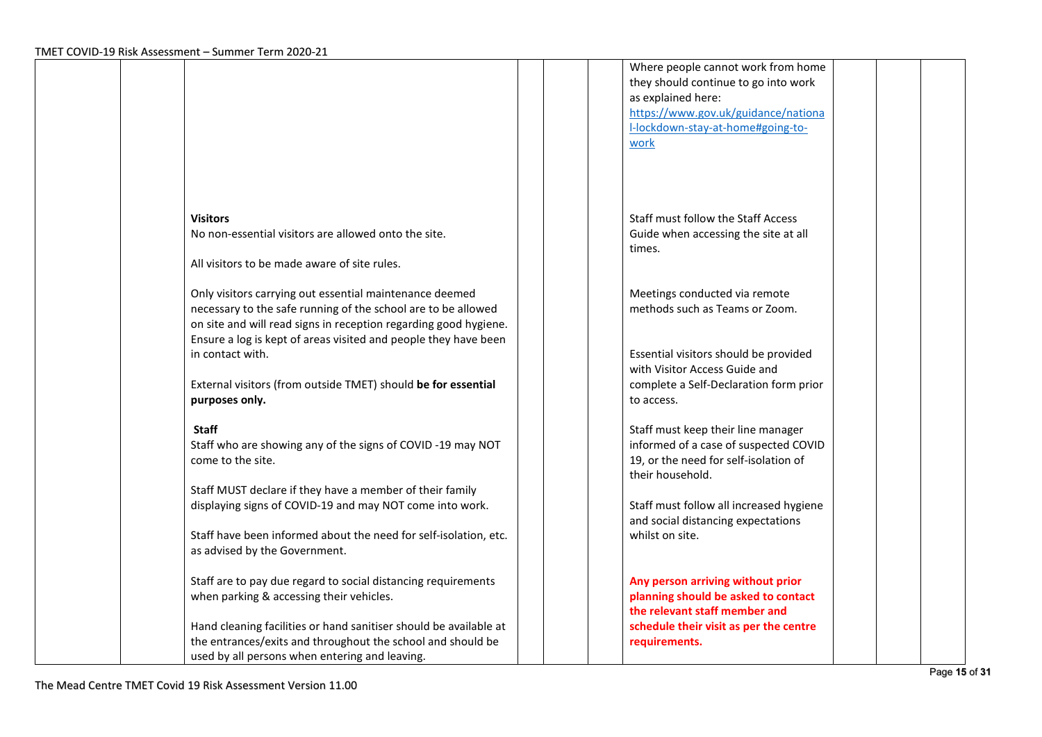|                                                                   | Where people cannot work from home      |  |
|-------------------------------------------------------------------|-----------------------------------------|--|
|                                                                   | they should continue to go into work    |  |
|                                                                   | as explained here:                      |  |
|                                                                   | https://www.gov.uk/guidance/nationa     |  |
|                                                                   | I-lockdown-stay-at-home#going-to-       |  |
|                                                                   | work                                    |  |
|                                                                   |                                         |  |
|                                                                   |                                         |  |
|                                                                   |                                         |  |
|                                                                   |                                         |  |
| <b>Visitors</b>                                                   | Staff must follow the Staff Access      |  |
| No non-essential visitors are allowed onto the site.              | Guide when accessing the site at all    |  |
|                                                                   | times.                                  |  |
| All visitors to be made aware of site rules.                      |                                         |  |
|                                                                   |                                         |  |
| Only visitors carrying out essential maintenance deemed           | Meetings conducted via remote           |  |
| necessary to the safe running of the school are to be allowed     | methods such as Teams or Zoom.          |  |
| on site and will read signs in reception regarding good hygiene.  |                                         |  |
| Ensure a log is kept of areas visited and people they have been   |                                         |  |
| in contact with.                                                  | Essential visitors should be provided   |  |
|                                                                   | with Visitor Access Guide and           |  |
| External visitors (from outside TMET) should be for essential     | complete a Self-Declaration form prior  |  |
| purposes only.                                                    | to access.                              |  |
|                                                                   |                                         |  |
| <b>Staff</b>                                                      | Staff must keep their line manager      |  |
| Staff who are showing any of the signs of COVID-19 may NOT        | informed of a case of suspected COVID   |  |
| come to the site.                                                 | 19, or the need for self-isolation of   |  |
|                                                                   | their household.                        |  |
| Staff MUST declare if they have a member of their family          |                                         |  |
| displaying signs of COVID-19 and may NOT come into work.          | Staff must follow all increased hygiene |  |
|                                                                   | and social distancing expectations      |  |
| Staff have been informed about the need for self-isolation, etc.  | whilst on site.                         |  |
| as advised by the Government.                                     |                                         |  |
|                                                                   |                                         |  |
| Staff are to pay due regard to social distancing requirements     | Any person arriving without prior       |  |
| when parking & accessing their vehicles.                          | planning should be asked to contact     |  |
|                                                                   | the relevant staff member and           |  |
| Hand cleaning facilities or hand sanitiser should be available at | schedule their visit as per the centre  |  |
| the entrances/exits and throughout the school and should be       | requirements.                           |  |
| used by all persons when entering and leaving.                    |                                         |  |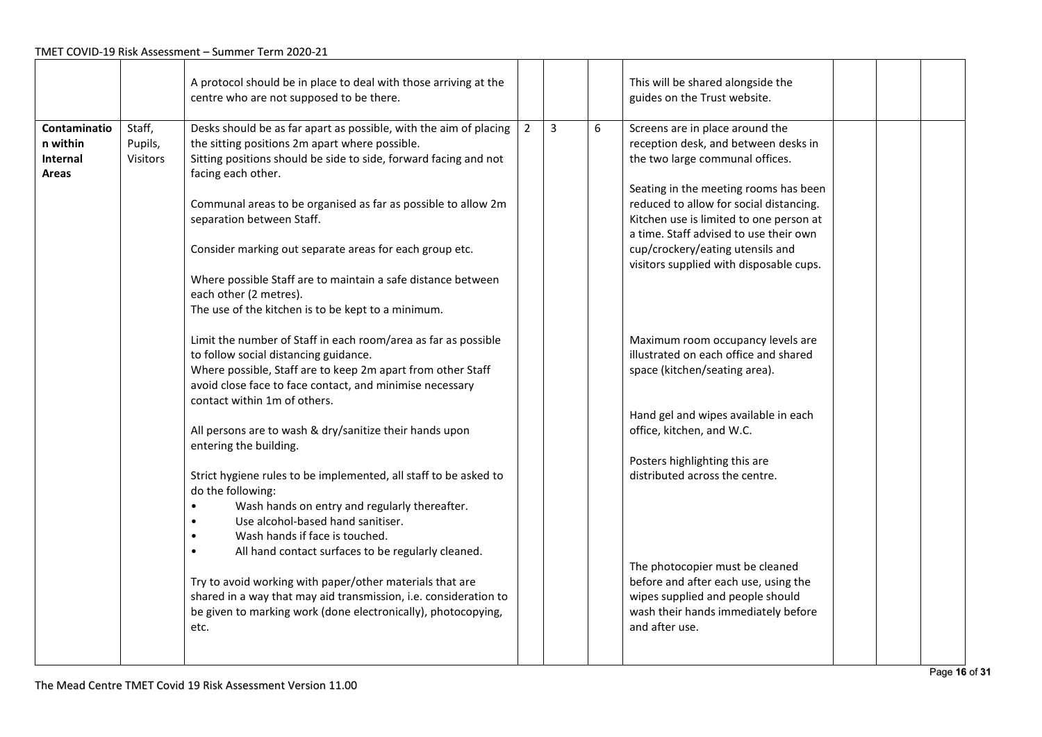|                                               |                               | A protocol should be in place to deal with those arriving at the<br>centre who are not supposed to be there.                                                                                                                                                                                                                                                                                                                                                                                                                                                                                                                                                                                                                                                                                                                                                                                                                                          |                |                |   | This will be shared alongside the<br>guides on the Trust website.                                                                                                                                                                                                                                                                                                                                                                                                                                                                                                                                                         |  |  |
|-----------------------------------------------|-------------------------------|-------------------------------------------------------------------------------------------------------------------------------------------------------------------------------------------------------------------------------------------------------------------------------------------------------------------------------------------------------------------------------------------------------------------------------------------------------------------------------------------------------------------------------------------------------------------------------------------------------------------------------------------------------------------------------------------------------------------------------------------------------------------------------------------------------------------------------------------------------------------------------------------------------------------------------------------------------|----------------|----------------|---|---------------------------------------------------------------------------------------------------------------------------------------------------------------------------------------------------------------------------------------------------------------------------------------------------------------------------------------------------------------------------------------------------------------------------------------------------------------------------------------------------------------------------------------------------------------------------------------------------------------------------|--|--|
| Contaminatio<br>n within<br>Internal<br>Areas | Staff,<br>Pupils,<br>Visitors | Desks should be as far apart as possible, with the aim of placing<br>the sitting positions 2m apart where possible.<br>Sitting positions should be side to side, forward facing and not<br>facing each other.<br>Communal areas to be organised as far as possible to allow 2m<br>separation between Staff.<br>Consider marking out separate areas for each group etc.<br>Where possible Staff are to maintain a safe distance between<br>each other (2 metres).<br>The use of the kitchen is to be kept to a minimum.<br>Limit the number of Staff in each room/area as far as possible<br>to follow social distancing guidance.<br>Where possible, Staff are to keep 2m apart from other Staff<br>avoid close face to face contact, and minimise necessary<br>contact within 1m of others.<br>All persons are to wash & dry/sanitize their hands upon<br>entering the building.<br>Strict hygiene rules to be implemented, all staff to be asked to | $\overline{2}$ | $\overline{3}$ | 6 | Screens are in place around the<br>reception desk, and between desks in<br>the two large communal offices.<br>Seating in the meeting rooms has been<br>reduced to allow for social distancing.<br>Kitchen use is limited to one person at<br>a time. Staff advised to use their own<br>cup/crockery/eating utensils and<br>visitors supplied with disposable cups.<br>Maximum room occupancy levels are<br>illustrated on each office and shared<br>space (kitchen/seating area).<br>Hand gel and wipes available in each<br>office, kitchen, and W.C.<br>Posters highlighting this are<br>distributed across the centre. |  |  |
|                                               |                               | do the following:<br>Wash hands on entry and regularly thereafter.<br>Use alcohol-based hand sanitiser.<br>$\bullet$<br>Wash hands if face is touched.<br>All hand contact surfaces to be regularly cleaned.<br>$\bullet$<br>Try to avoid working with paper/other materials that are<br>shared in a way that may aid transmission, i.e. consideration to<br>be given to marking work (done electronically), photocopying,<br>etc.                                                                                                                                                                                                                                                                                                                                                                                                                                                                                                                    |                |                |   | The photocopier must be cleaned<br>before and after each use, using the<br>wipes supplied and people should<br>wash their hands immediately before<br>and after use.                                                                                                                                                                                                                                                                                                                                                                                                                                                      |  |  |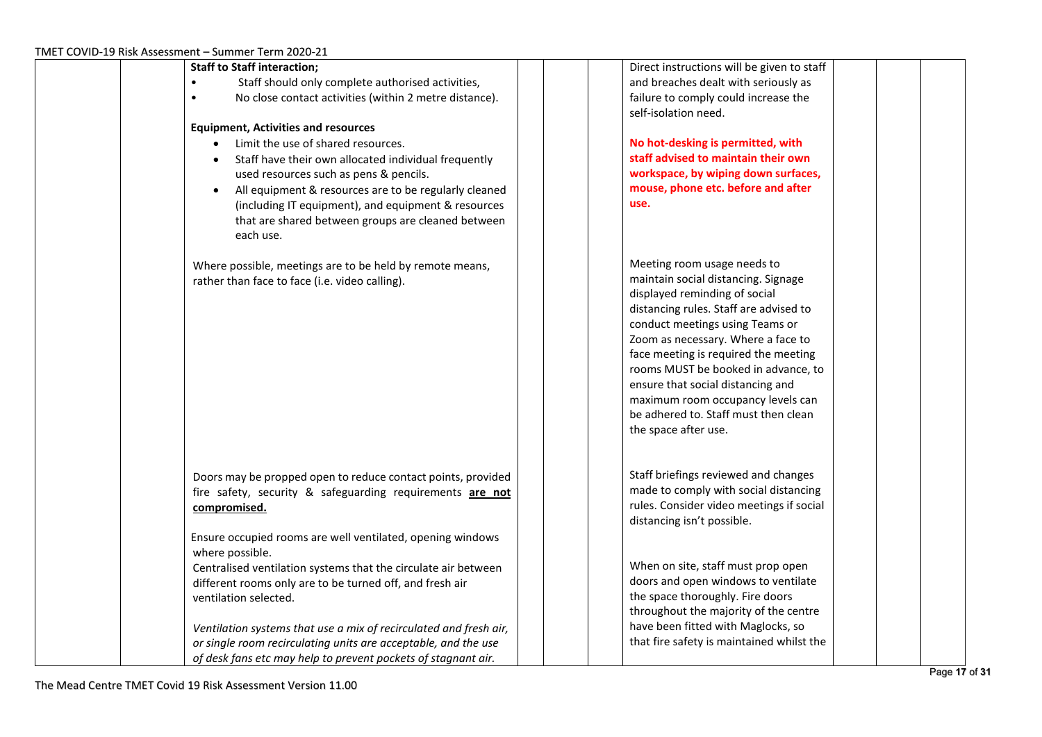| <b>Staff to Staff interaction;</b>                                 | Direct instructions will be given to staff                                      |
|--------------------------------------------------------------------|---------------------------------------------------------------------------------|
| Staff should only complete authorised activities,                  | and breaches dealt with seriously as                                            |
| No close contact activities (within 2 metre distance).             | failure to comply could increase the                                            |
|                                                                    | self-isolation need.                                                            |
| <b>Equipment, Activities and resources</b>                         |                                                                                 |
| Limit the use of shared resources.                                 | No hot-desking is permitted, with                                               |
| Staff have their own allocated individual frequently               | staff advised to maintain their own                                             |
| used resources such as pens & pencils.                             | workspace, by wiping down surfaces,                                             |
| All equipment & resources are to be regularly cleaned<br>$\bullet$ | mouse, phone etc. before and after                                              |
| (including IT equipment), and equipment & resources                | use.                                                                            |
| that are shared between groups are cleaned between                 |                                                                                 |
| each use.                                                          |                                                                                 |
| Where possible, meetings are to be held by remote means,           | Meeting room usage needs to                                                     |
| rather than face to face (i.e. video calling).                     | maintain social distancing. Signage                                             |
|                                                                    | displayed reminding of social                                                   |
|                                                                    | distancing rules. Staff are advised to                                          |
|                                                                    | conduct meetings using Teams or                                                 |
|                                                                    | Zoom as necessary. Where a face to                                              |
|                                                                    | face meeting is required the meeting                                            |
|                                                                    | rooms MUST be booked in advance, to                                             |
|                                                                    | ensure that social distancing and                                               |
|                                                                    | maximum room occupancy levels can                                               |
|                                                                    | be adhered to. Staff must then clean                                            |
|                                                                    | the space after use.                                                            |
|                                                                    |                                                                                 |
| Doors may be propped open to reduce contact points, provided       | Staff briefings reviewed and changes                                            |
| fire safety, security & safeguarding requirements are not          | made to comply with social distancing                                           |
| compromised.                                                       | rules. Consider video meetings if social                                        |
|                                                                    | distancing isn't possible.                                                      |
| Ensure occupied rooms are well ventilated, opening windows         |                                                                                 |
| where possible.                                                    |                                                                                 |
| Centralised ventilation systems that the circulate air between     | When on site, staff must prop open                                              |
| different rooms only are to be turned off, and fresh air           | doors and open windows to ventilate                                             |
| ventilation selected.                                              | the space thoroughly. Fire doors                                                |
|                                                                    | throughout the majority of the centre                                           |
| Ventilation systems that use a mix of recirculated and fresh air,  | have been fitted with Maglocks, so<br>that fire safety is maintained whilst the |
| or single room recirculating units are acceptable, and the use     |                                                                                 |
| of desk fans etc may help to prevent pockets of stagnant air.      |                                                                                 |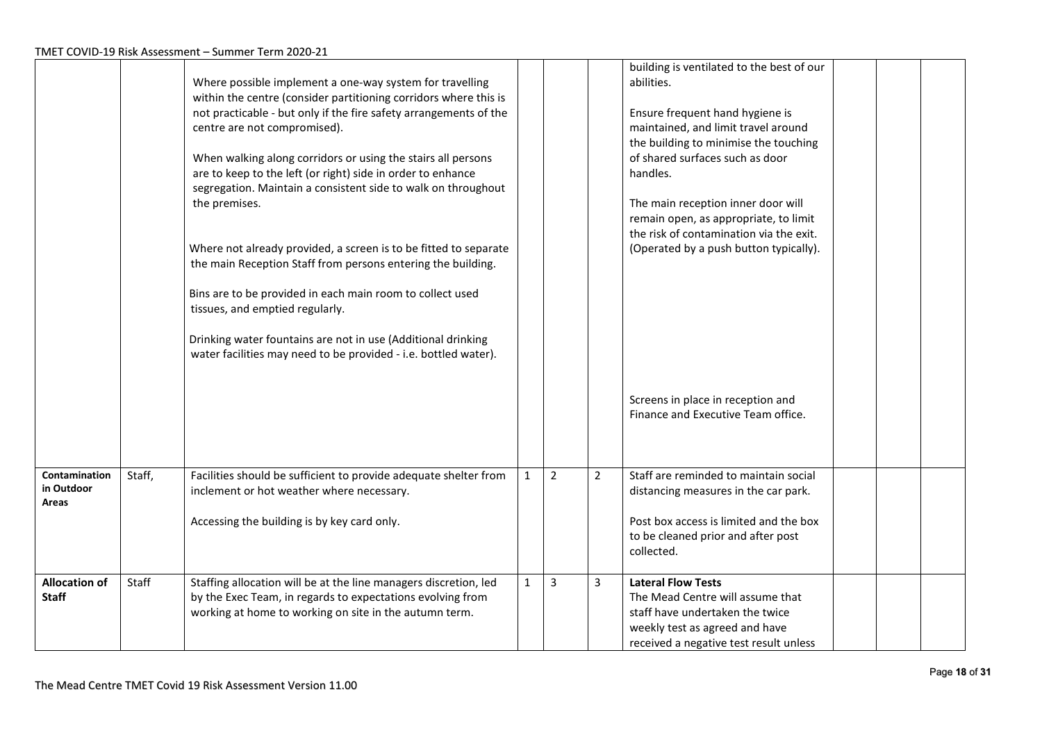|                                      |        | Where possible implement a one-way system for travelling<br>within the centre (consider partitioning corridors where this is<br>not practicable - but only if the fire safety arrangements of the<br>centre are not compromised).<br>When walking along corridors or using the stairs all persons<br>are to keep to the left (or right) side in order to enhance<br>segregation. Maintain a consistent side to walk on throughout<br>the premises.<br>Where not already provided, a screen is to be fitted to separate<br>the main Reception Staff from persons entering the building.<br>Bins are to be provided in each main room to collect used<br>tissues, and emptied regularly.<br>Drinking water fountains are not in use (Additional drinking<br>water facilities may need to be provided - i.e. bottled water). |              |                |                | building is ventilated to the best of our<br>abilities.<br>Ensure frequent hand hygiene is<br>maintained, and limit travel around<br>the building to minimise the touching<br>of shared surfaces such as door<br>handles.<br>The main reception inner door will<br>remain open, as appropriate, to limit<br>the risk of contamination via the exit.<br>(Operated by a push button typically).<br>Screens in place in reception and |  |  |
|--------------------------------------|--------|---------------------------------------------------------------------------------------------------------------------------------------------------------------------------------------------------------------------------------------------------------------------------------------------------------------------------------------------------------------------------------------------------------------------------------------------------------------------------------------------------------------------------------------------------------------------------------------------------------------------------------------------------------------------------------------------------------------------------------------------------------------------------------------------------------------------------|--------------|----------------|----------------|------------------------------------------------------------------------------------------------------------------------------------------------------------------------------------------------------------------------------------------------------------------------------------------------------------------------------------------------------------------------------------------------------------------------------------|--|--|
|                                      |        |                                                                                                                                                                                                                                                                                                                                                                                                                                                                                                                                                                                                                                                                                                                                                                                                                           |              |                |                | Finance and Executive Team office.                                                                                                                                                                                                                                                                                                                                                                                                 |  |  |
| Contamination<br>in Outdoor<br>Areas | Staff, | Facilities should be sufficient to provide adequate shelter from<br>inclement or hot weather where necessary.<br>Accessing the building is by key card only.                                                                                                                                                                                                                                                                                                                                                                                                                                                                                                                                                                                                                                                              | $\mathbf{1}$ | $\overline{2}$ | $\overline{2}$ | Staff are reminded to maintain social<br>distancing measures in the car park.<br>Post box access is limited and the box<br>to be cleaned prior and after post<br>collected.                                                                                                                                                                                                                                                        |  |  |
| <b>Allocation of</b><br><b>Staff</b> | Staff  | Staffing allocation will be at the line managers discretion, led<br>by the Exec Team, in regards to expectations evolving from<br>working at home to working on site in the autumn term.                                                                                                                                                                                                                                                                                                                                                                                                                                                                                                                                                                                                                                  | $\mathbf{1}$ | $\overline{3}$ | 3              | <b>Lateral Flow Tests</b><br>The Mead Centre will assume that<br>staff have undertaken the twice<br>weekly test as agreed and have<br>received a negative test result unless                                                                                                                                                                                                                                                       |  |  |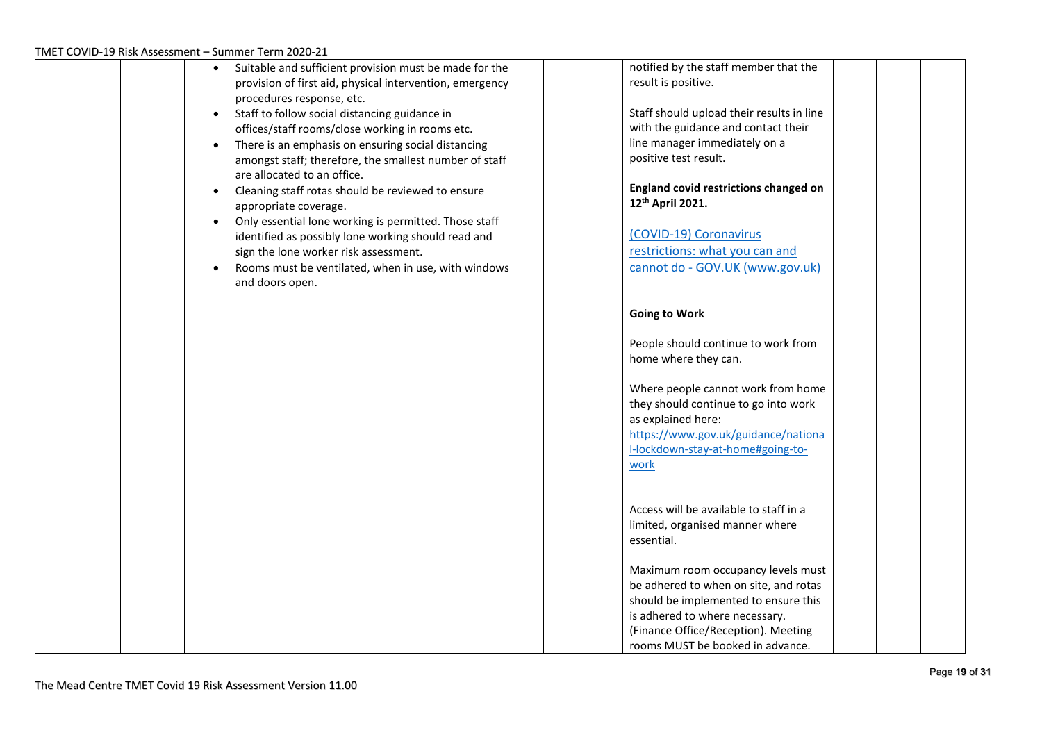| Suitable and sufficient provision must be made for the                                | notified by the staff member that the     |  |
|---------------------------------------------------------------------------------------|-------------------------------------------|--|
| provision of first aid, physical intervention, emergency                              | result is positive.                       |  |
| procedures response, etc.                                                             |                                           |  |
| Staff to follow social distancing guidance in                                         | Staff should upload their results in line |  |
| offices/staff rooms/close working in rooms etc.                                       | with the guidance and contact their       |  |
| There is an emphasis on ensuring social distancing<br>$\bullet$                       | line manager immediately on a             |  |
| amongst staff; therefore, the smallest number of staff<br>are allocated to an office. | positive test result.                     |  |
| Cleaning staff rotas should be reviewed to ensure<br>$\bullet$                        | England covid restrictions changed on     |  |
| appropriate coverage.                                                                 | 12th April 2021.                          |  |
| Only essential lone working is permitted. Those staff<br>$\bullet$                    |                                           |  |
| identified as possibly lone working should read and                                   | (COVID-19) Coronavirus                    |  |
| sign the lone worker risk assessment.                                                 | restrictions: what you can and            |  |
| Rooms must be ventilated, when in use, with windows                                   | cannot do - GOV.UK (www.gov.uk)           |  |
| and doors open.                                                                       |                                           |  |
|                                                                                       | <b>Going to Work</b>                      |  |
|                                                                                       |                                           |  |
|                                                                                       | People should continue to work from       |  |
|                                                                                       | home where they can.                      |  |
|                                                                                       |                                           |  |
|                                                                                       | Where people cannot work from home        |  |
|                                                                                       | they should continue to go into work      |  |
|                                                                                       | as explained here:                        |  |
|                                                                                       | https://www.gov.uk/guidance/nationa       |  |
|                                                                                       | I-lockdown-stay-at-home#going-to-         |  |
|                                                                                       | work                                      |  |
|                                                                                       |                                           |  |
|                                                                                       |                                           |  |
|                                                                                       | Access will be available to staff in a    |  |
|                                                                                       | limited, organised manner where           |  |
|                                                                                       | essential.                                |  |
|                                                                                       | Maximum room occupancy levels must        |  |
|                                                                                       | be adhered to when on site, and rotas     |  |
|                                                                                       | should be implemented to ensure this      |  |
|                                                                                       | is adhered to where necessary.            |  |
|                                                                                       | (Finance Office/Reception). Meeting       |  |
|                                                                                       | rooms MUST be booked in advance.          |  |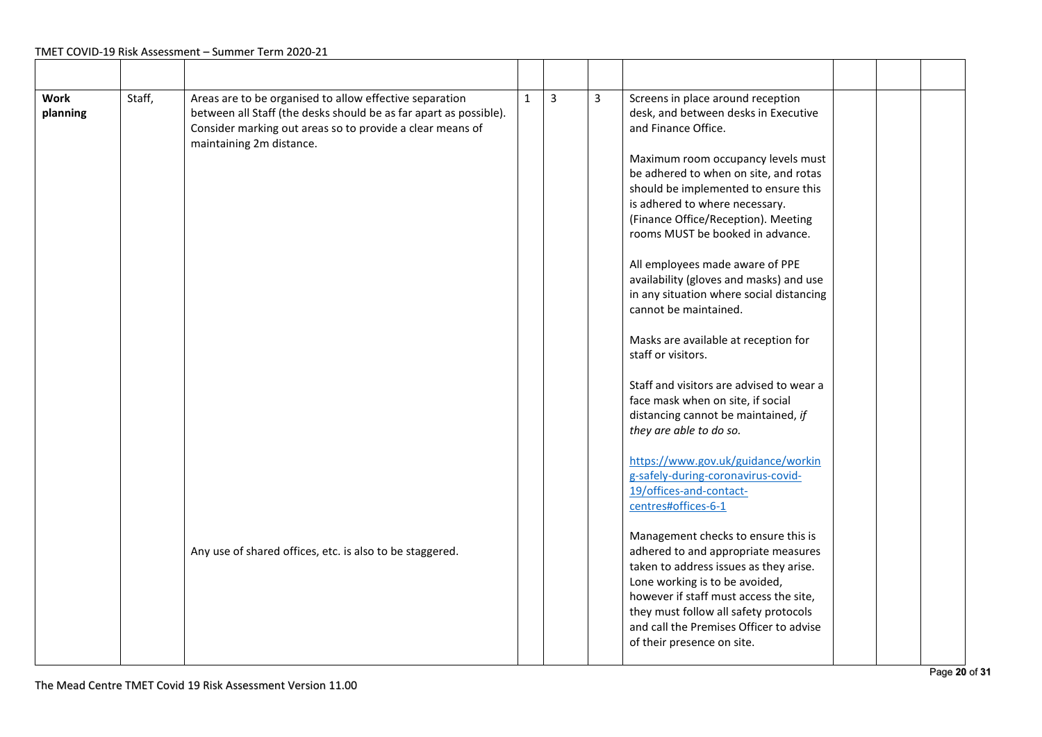| <b>Work</b><br>planning | Staff, | Areas are to be organised to allow effective separation<br>between all Staff (the desks should be as far apart as possible).<br>Consider marking out areas so to provide a clear means of<br>maintaining 2m distance. | $\mathbf{1}$ | $\overline{3}$ | 3 | Screens in place around reception<br>desk, and between desks in Executive<br>and Finance Office.<br>Maximum room occupancy levels must<br>be adhered to when on site, and rotas<br>should be implemented to ensure this<br>is adhered to where necessary.<br>(Finance Office/Reception). Meeting<br>rooms MUST be booked in advance.<br>All employees made aware of PPE<br>availability (gloves and masks) and use<br>in any situation where social distancing<br>cannot be maintained.<br>Masks are available at reception for<br>staff or visitors.<br>Staff and visitors are advised to wear a<br>face mask when on site, if social<br>distancing cannot be maintained, if<br>they are able to do so. |  |  |
|-------------------------|--------|-----------------------------------------------------------------------------------------------------------------------------------------------------------------------------------------------------------------------|--------------|----------------|---|----------------------------------------------------------------------------------------------------------------------------------------------------------------------------------------------------------------------------------------------------------------------------------------------------------------------------------------------------------------------------------------------------------------------------------------------------------------------------------------------------------------------------------------------------------------------------------------------------------------------------------------------------------------------------------------------------------|--|--|
|                         |        | Any use of shared offices, etc. is also to be staggered.                                                                                                                                                              |              |                |   | https://www.gov.uk/guidance/workin<br>g-safely-during-coronavirus-covid-<br>19/offices-and-contact-<br>centres#offices-6-1<br>Management checks to ensure this is<br>adhered to and appropriate measures<br>taken to address issues as they arise.<br>Lone working is to be avoided,<br>however if staff must access the site,<br>they must follow all safety protocols<br>and call the Premises Officer to advise<br>of their presence on site.                                                                                                                                                                                                                                                         |  |  |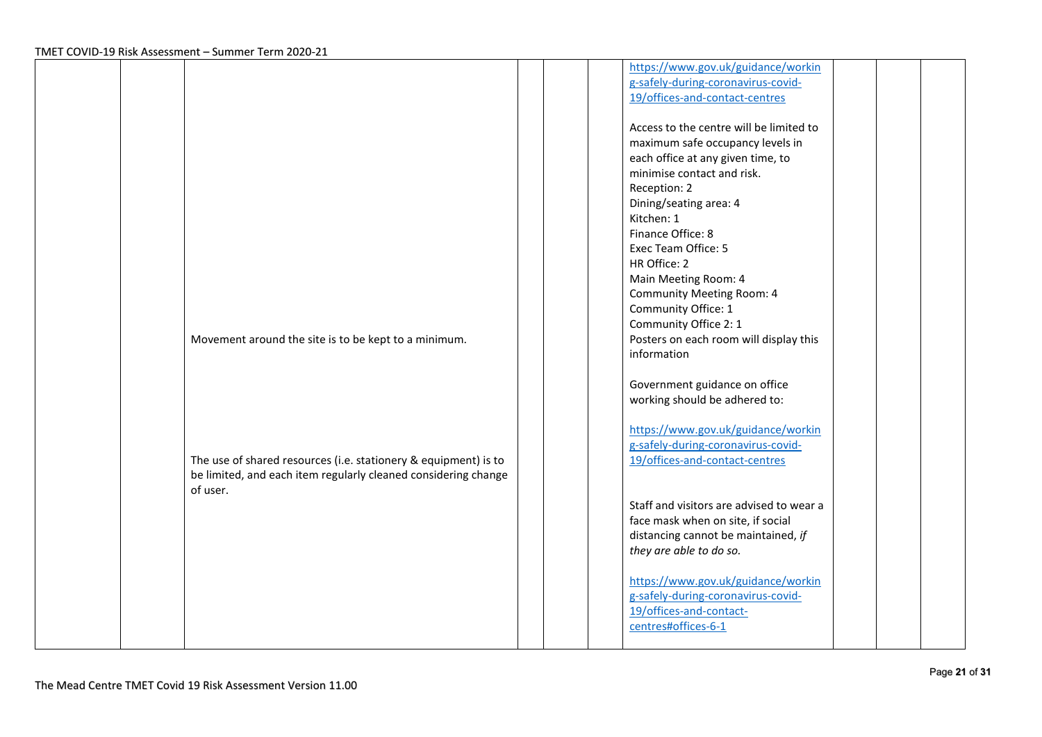|                                                                            | https://www.gov.uk/guidance/workin<br>g-safely-during-coronavirus-covid-<br>19/offices-and-contact-centres                                                                                                                                                                                                                                                                     |  |
|----------------------------------------------------------------------------|--------------------------------------------------------------------------------------------------------------------------------------------------------------------------------------------------------------------------------------------------------------------------------------------------------------------------------------------------------------------------------|--|
|                                                                            | Access to the centre will be limited to<br>maximum safe occupancy levels in<br>each office at any given time, to<br>minimise contact and risk.<br>Reception: 2<br>Dining/seating area: 4<br>Kitchen: 1<br>Finance Office: 8<br>Exec Team Office: 5<br>HR Office: 2<br>Main Meeting Room: 4<br><b>Community Meeting Room: 4</b><br>Community Office: 1<br>Community Office 2: 1 |  |
| Movement around the site is to be kept to a minimum.                       | Posters on each room will display this<br>information                                                                                                                                                                                                                                                                                                                          |  |
| The use of shared resources (i.e. stationery & equipment) is to            | Government guidance on office<br>working should be adhered to:<br>https://www.gov.uk/guidance/workin<br>g-safely-during-coronavirus-covid-<br>19/offices-and-contact-centres                                                                                                                                                                                                   |  |
| be limited, and each item regularly cleaned considering change<br>of user. | Staff and visitors are advised to wear a<br>face mask when on site, if social<br>distancing cannot be maintained, if<br>they are able to do so.                                                                                                                                                                                                                                |  |
|                                                                            | https://www.gov.uk/guidance/workin<br>g-safely-during-coronavirus-covid-<br>19/offices-and-contact-<br>centres#offices-6-1                                                                                                                                                                                                                                                     |  |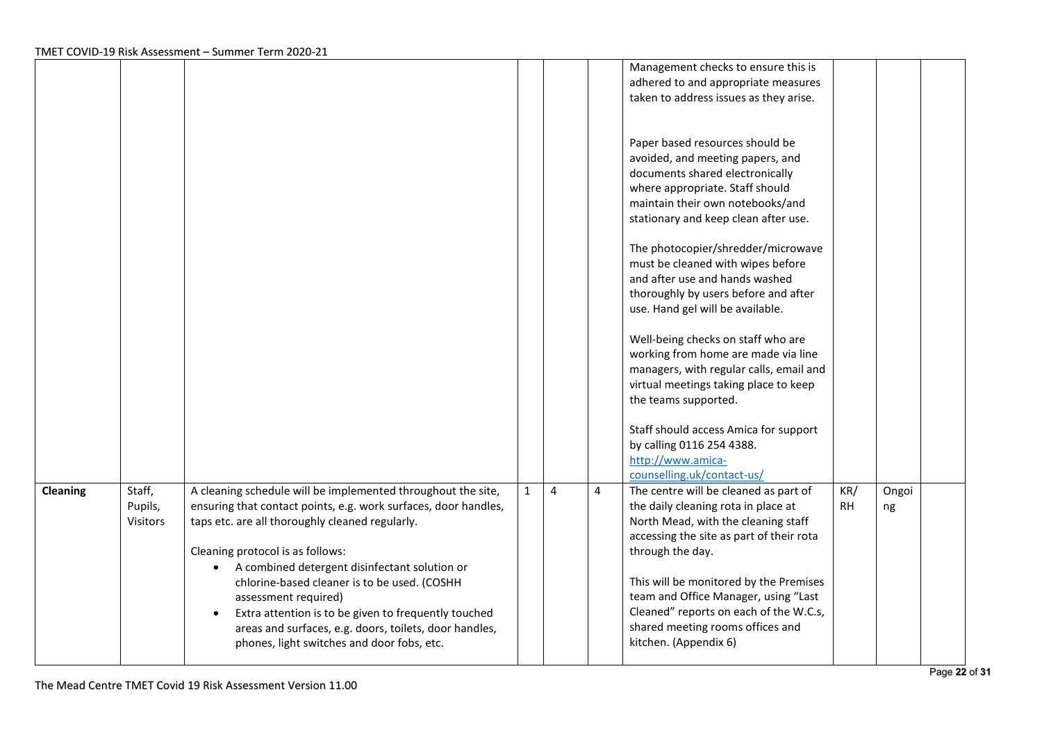|          |                 |                                                                   |              |                |                | Management checks to ensure this is      |           |       |  |
|----------|-----------------|-------------------------------------------------------------------|--------------|----------------|----------------|------------------------------------------|-----------|-------|--|
|          |                 |                                                                   |              |                |                | adhered to and appropriate measures      |           |       |  |
|          |                 |                                                                   |              |                |                | taken to address issues as they arise.   |           |       |  |
|          |                 |                                                                   |              |                |                |                                          |           |       |  |
|          |                 |                                                                   |              |                |                |                                          |           |       |  |
|          |                 |                                                                   |              |                |                | Paper based resources should be          |           |       |  |
|          |                 |                                                                   |              |                |                | avoided, and meeting papers, and         |           |       |  |
|          |                 |                                                                   |              |                |                | documents shared electronically          |           |       |  |
|          |                 |                                                                   |              |                |                | where appropriate. Staff should          |           |       |  |
|          |                 |                                                                   |              |                |                | maintain their own notebooks/and         |           |       |  |
|          |                 |                                                                   |              |                |                | stationary and keep clean after use.     |           |       |  |
|          |                 |                                                                   |              |                |                |                                          |           |       |  |
|          |                 |                                                                   |              |                |                | The photocopier/shredder/microwave       |           |       |  |
|          |                 |                                                                   |              |                |                | must be cleaned with wipes before        |           |       |  |
|          |                 |                                                                   |              |                |                | and after use and hands washed           |           |       |  |
|          |                 |                                                                   |              |                |                | thoroughly by users before and after     |           |       |  |
|          |                 |                                                                   |              |                |                | use. Hand gel will be available.         |           |       |  |
|          |                 |                                                                   |              |                |                |                                          |           |       |  |
|          |                 |                                                                   |              |                |                | Well-being checks on staff who are       |           |       |  |
|          |                 |                                                                   |              |                |                | working from home are made via line      |           |       |  |
|          |                 |                                                                   |              |                |                | managers, with regular calls, email and  |           |       |  |
|          |                 |                                                                   |              |                |                | virtual meetings taking place to keep    |           |       |  |
|          |                 |                                                                   |              |                |                | the teams supported.                     |           |       |  |
|          |                 |                                                                   |              |                |                |                                          |           |       |  |
|          |                 |                                                                   |              |                |                | Staff should access Amica for support    |           |       |  |
|          |                 |                                                                   |              |                |                | by calling 0116 254 4388.                |           |       |  |
|          |                 |                                                                   |              |                |                | http://www.amica-                        |           |       |  |
|          |                 |                                                                   |              |                |                | counselling.uk/contact-us/               |           |       |  |
| Cleaning | Staff,          | A cleaning schedule will be implemented throughout the site,      | $\mathbf{1}$ | $\overline{4}$ | $\overline{4}$ | The centre will be cleaned as part of    | KR/       | Ongoi |  |
|          | Pupils,         | ensuring that contact points, e.g. work surfaces, door handles,   |              |                |                | the daily cleaning rota in place at      | <b>RH</b> | ng    |  |
|          | <b>Visitors</b> | taps etc. are all thoroughly cleaned regularly.                   |              |                |                | North Mead, with the cleaning staff      |           |       |  |
|          |                 |                                                                   |              |                |                | accessing the site as part of their rota |           |       |  |
|          |                 | Cleaning protocol is as follows:                                  |              |                |                | through the day.                         |           |       |  |
|          |                 | A combined detergent disinfectant solution or<br>$\bullet$        |              |                |                |                                          |           |       |  |
|          |                 |                                                                   |              |                |                | This will be monitored by the Premises   |           |       |  |
|          |                 | chlorine-based cleaner is to be used. (COSHH                      |              |                |                | team and Office Manager, using "Last     |           |       |  |
|          |                 | assessment required)                                              |              |                |                |                                          |           |       |  |
|          |                 | Extra attention is to be given to frequently touched<br>$\bullet$ |              |                |                | Cleaned" reports on each of the W.C.s,   |           |       |  |
|          |                 | areas and surfaces, e.g. doors, toilets, door handles,            |              |                |                | shared meeting rooms offices and         |           |       |  |
|          |                 | phones, light switches and door fobs, etc.                        |              |                |                | kitchen. (Appendix 6)                    |           |       |  |
|          |                 |                                                                   |              |                |                |                                          |           |       |  |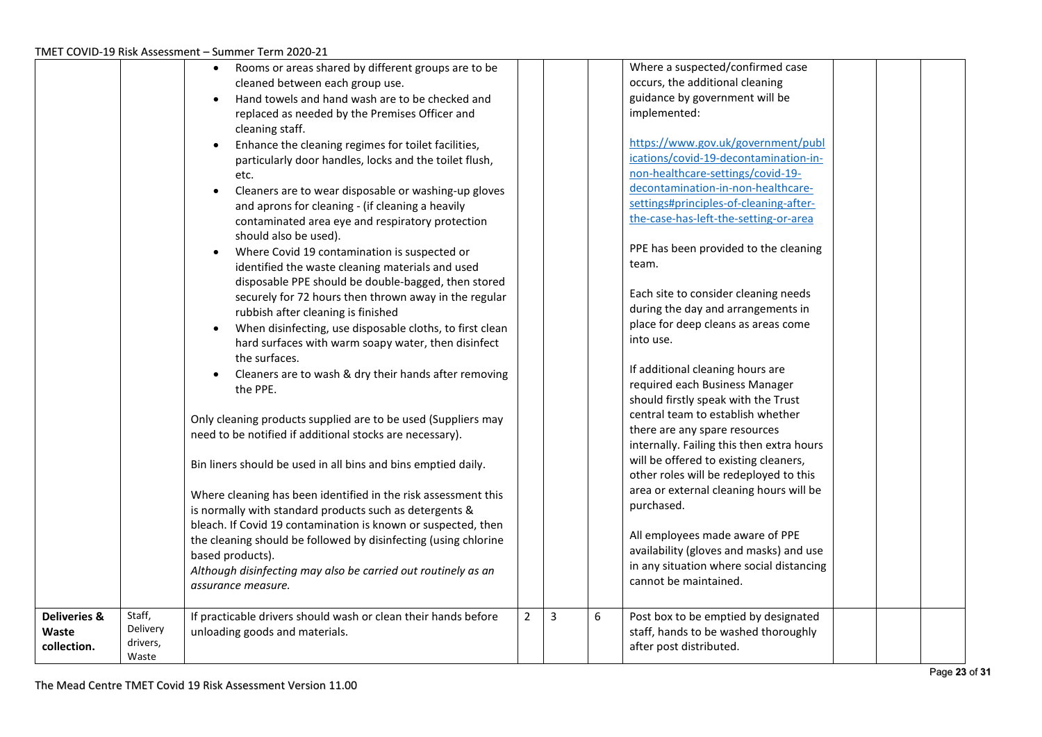|                         |                    | Rooms or areas shared by different groups are to be                   |                |   |   | Where a suspected/confirmed case                                             |  |  |
|-------------------------|--------------------|-----------------------------------------------------------------------|----------------|---|---|------------------------------------------------------------------------------|--|--|
|                         |                    | cleaned between each group use.                                       |                |   |   | occurs, the additional cleaning                                              |  |  |
|                         |                    | Hand towels and hand wash are to be checked and                       |                |   |   | guidance by government will be                                               |  |  |
|                         |                    | replaced as needed by the Premises Officer and                        |                |   |   | implemented:                                                                 |  |  |
|                         |                    | cleaning staff.                                                       |                |   |   |                                                                              |  |  |
|                         |                    | Enhance the cleaning regimes for toilet facilities,<br>$\bullet$      |                |   |   | https://www.gov.uk/government/publ                                           |  |  |
|                         |                    | particularly door handles, locks and the toilet flush,                |                |   |   | ications/covid-19-decontamination-in-                                        |  |  |
|                         |                    | etc.                                                                  |                |   |   | non-healthcare-settings/covid-19-                                            |  |  |
|                         |                    | Cleaners are to wear disposable or washing-up gloves<br>$\bullet$     |                |   |   | decontamination-in-non-healthcare-                                           |  |  |
|                         |                    | and aprons for cleaning - (if cleaning a heavily                      |                |   |   | settings#principles-of-cleaning-after-                                       |  |  |
|                         |                    | contaminated area eye and respiratory protection                      |                |   |   | the-case-has-left-the-setting-or-area                                        |  |  |
|                         |                    | should also be used).                                                 |                |   |   |                                                                              |  |  |
|                         |                    | Where Covid 19 contamination is suspected or                          |                |   |   | PPE has been provided to the cleaning                                        |  |  |
|                         |                    | identified the waste cleaning materials and used                      |                |   |   | team.                                                                        |  |  |
|                         |                    | disposable PPE should be double-bagged, then stored                   |                |   |   |                                                                              |  |  |
|                         |                    | securely for 72 hours then thrown away in the regular                 |                |   |   | Each site to consider cleaning needs                                         |  |  |
|                         |                    | rubbish after cleaning is finished                                    |                |   |   | during the day and arrangements in                                           |  |  |
|                         |                    | When disinfecting, use disposable cloths, to first clean<br>$\bullet$ |                |   |   | place for deep cleans as areas come                                          |  |  |
|                         |                    | hard surfaces with warm soapy water, then disinfect                   |                |   |   | into use.                                                                    |  |  |
|                         |                    | the surfaces.                                                         |                |   |   |                                                                              |  |  |
|                         |                    | Cleaners are to wash & dry their hands after removing                 |                |   |   | If additional cleaning hours are                                             |  |  |
|                         |                    | the PPE.                                                              |                |   |   | required each Business Manager                                               |  |  |
|                         |                    |                                                                       |                |   |   | should firstly speak with the Trust                                          |  |  |
|                         |                    | Only cleaning products supplied are to be used (Suppliers may         |                |   |   | central team to establish whether                                            |  |  |
|                         |                    | need to be notified if additional stocks are necessary).              |                |   |   | there are any spare resources                                                |  |  |
|                         |                    |                                                                       |                |   |   | internally. Failing this then extra hours                                    |  |  |
|                         |                    | Bin liners should be used in all bins and bins emptied daily.         |                |   |   | will be offered to existing cleaners,                                        |  |  |
|                         |                    |                                                                       |                |   |   | other roles will be redeployed to this                                       |  |  |
|                         |                    | Where cleaning has been identified in the risk assessment this        |                |   |   | area or external cleaning hours will be                                      |  |  |
|                         |                    | is normally with standard products such as detergents &               |                |   |   | purchased.                                                                   |  |  |
|                         |                    | bleach. If Covid 19 contamination is known or suspected, then         |                |   |   | All employees made aware of PPE                                              |  |  |
|                         |                    | the cleaning should be followed by disinfecting (using chlorine       |                |   |   | availability (gloves and masks) and use                                      |  |  |
|                         |                    | based products).                                                      |                |   |   | in any situation where social distancing                                     |  |  |
|                         |                    | Although disinfecting may also be carried out routinely as an         |                |   |   | cannot be maintained.                                                        |  |  |
|                         |                    | assurance measure.                                                    |                |   |   |                                                                              |  |  |
|                         |                    |                                                                       |                |   |   |                                                                              |  |  |
| <b>Deliveries &amp;</b> | Staff,<br>Delivery | If practicable drivers should wash or clean their hands before        | $\overline{2}$ | 3 | 6 | Post box to be emptied by designated<br>staff, hands to be washed thoroughly |  |  |
| Waste<br>collection.    | drivers,           | unloading goods and materials.                                        |                |   |   | after post distributed.                                                      |  |  |
|                         | Waste              |                                                                       |                |   |   |                                                                              |  |  |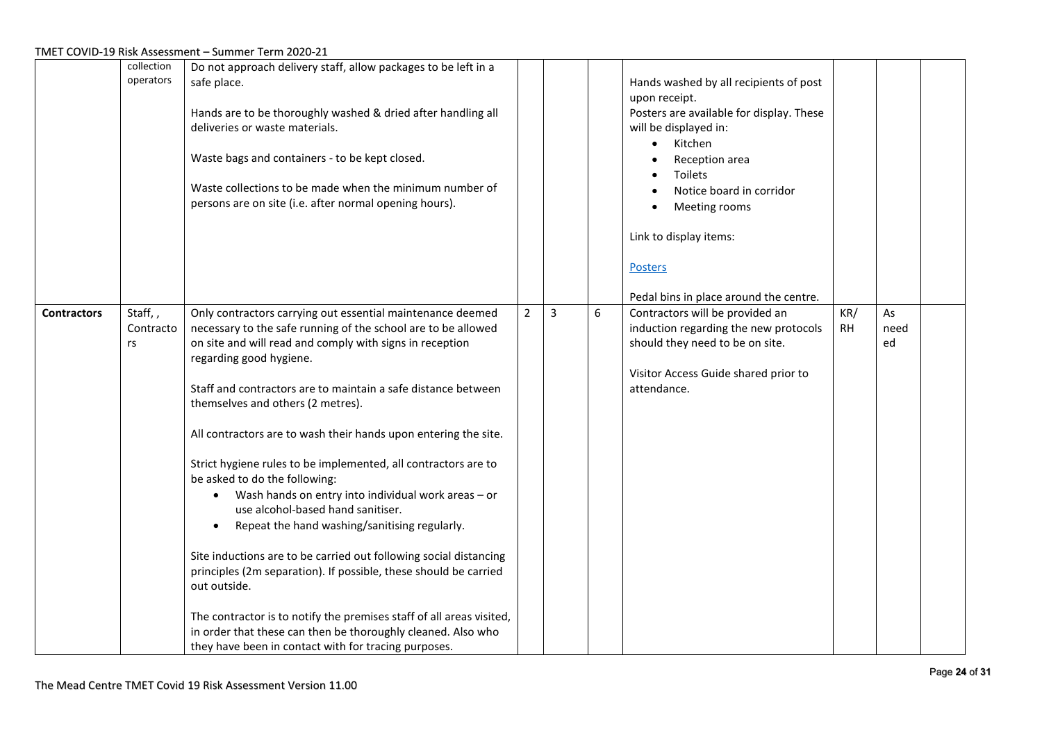|                    | collection<br>operators    | Do not approach delivery staff, allow packages to be left in a<br>safe place.<br>Hands are to be thoroughly washed & dried after handling all<br>deliveries or waste materials.<br>Waste bags and containers - to be kept closed.<br>Waste collections to be made when the minimum number of<br>persons are on site (i.e. after normal opening hours).                                                                                                                                                                                                                                                                                                                                                                                                                                                                                                                                                                                                                                                                |   |                |   | Hands washed by all recipients of post<br>upon receipt.<br>Posters are available for display. These<br>will be displayed in:<br>Kitchen<br>$\bullet$<br>Reception area<br>Toilets<br>Notice board in corridor<br>Meeting rooms<br>Link to display items:<br><b>Posters</b><br>Pedal bins in place around the centre. |                  |                  |  |
|--------------------|----------------------------|-----------------------------------------------------------------------------------------------------------------------------------------------------------------------------------------------------------------------------------------------------------------------------------------------------------------------------------------------------------------------------------------------------------------------------------------------------------------------------------------------------------------------------------------------------------------------------------------------------------------------------------------------------------------------------------------------------------------------------------------------------------------------------------------------------------------------------------------------------------------------------------------------------------------------------------------------------------------------------------------------------------------------|---|----------------|---|----------------------------------------------------------------------------------------------------------------------------------------------------------------------------------------------------------------------------------------------------------------------------------------------------------------------|------------------|------------------|--|
| <b>Contractors</b> | Staff,,<br>Contracto<br>rs | Only contractors carrying out essential maintenance deemed<br>necessary to the safe running of the school are to be allowed<br>on site and will read and comply with signs in reception<br>regarding good hygiene.<br>Staff and contractors are to maintain a safe distance between<br>themselves and others (2 metres).<br>All contractors are to wash their hands upon entering the site.<br>Strict hygiene rules to be implemented, all contractors are to<br>be asked to do the following:<br>• Wash hands on entry into individual work areas $-$ or<br>use alcohol-based hand sanitiser.<br>Repeat the hand washing/sanitising regularly.<br>$\bullet$<br>Site inductions are to be carried out following social distancing<br>principles (2m separation). If possible, these should be carried<br>out outside.<br>The contractor is to notify the premises staff of all areas visited,<br>in order that these can then be thoroughly cleaned. Also who<br>they have been in contact with for tracing purposes. | 2 | $\overline{3}$ | 6 | Contractors will be provided an<br>induction regarding the new protocols<br>should they need to be on site.<br>Visitor Access Guide shared prior to<br>attendance.                                                                                                                                                   | KR/<br><b>RH</b> | As<br>need<br>ed |  |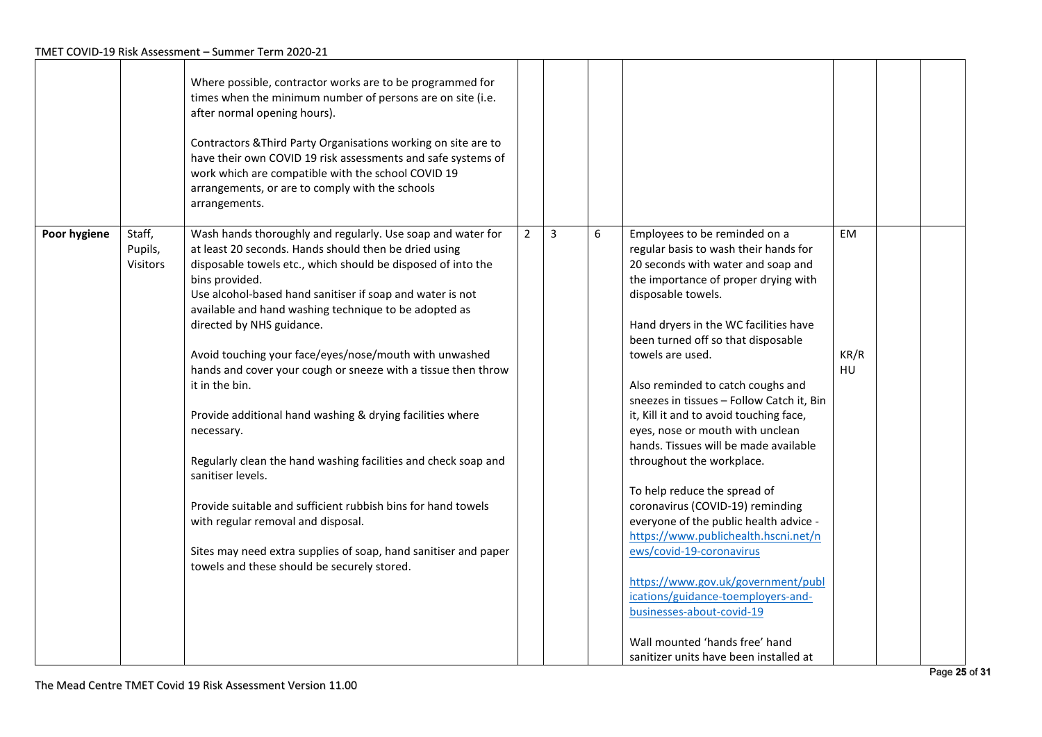|              |                               | Where possible, contractor works are to be programmed for<br>times when the minimum number of persons are on site (i.e.<br>after normal opening hours).<br>Contractors & Third Party Organisations working on site are to<br>have their own COVID 19 risk assessments and safe systems of<br>work which are compatible with the school COVID 19<br>arrangements, or are to comply with the schools<br>arrangements.                                                                                                                                                                                                                                                                                                                                                                                                                                                                              |                |                |   |                                                                                                                                                                                                                                                                                                                                                                                                                                                                                                                                                                                                                                                                                                                                                                                                                                                                                             |                         |  |
|--------------|-------------------------------|--------------------------------------------------------------------------------------------------------------------------------------------------------------------------------------------------------------------------------------------------------------------------------------------------------------------------------------------------------------------------------------------------------------------------------------------------------------------------------------------------------------------------------------------------------------------------------------------------------------------------------------------------------------------------------------------------------------------------------------------------------------------------------------------------------------------------------------------------------------------------------------------------|----------------|----------------|---|---------------------------------------------------------------------------------------------------------------------------------------------------------------------------------------------------------------------------------------------------------------------------------------------------------------------------------------------------------------------------------------------------------------------------------------------------------------------------------------------------------------------------------------------------------------------------------------------------------------------------------------------------------------------------------------------------------------------------------------------------------------------------------------------------------------------------------------------------------------------------------------------|-------------------------|--|
| Poor hygiene | Staff,<br>Pupils,<br>Visitors | Wash hands thoroughly and regularly. Use soap and water for<br>at least 20 seconds. Hands should then be dried using<br>disposable towels etc., which should be disposed of into the<br>bins provided.<br>Use alcohol-based hand sanitiser if soap and water is not<br>available and hand washing technique to be adopted as<br>directed by NHS guidance.<br>Avoid touching your face/eyes/nose/mouth with unwashed<br>hands and cover your cough or sneeze with a tissue then throw<br>it in the bin.<br>Provide additional hand washing & drying facilities where<br>necessary.<br>Regularly clean the hand washing facilities and check soap and<br>sanitiser levels.<br>Provide suitable and sufficient rubbish bins for hand towels<br>with regular removal and disposal.<br>Sites may need extra supplies of soap, hand sanitiser and paper<br>towels and these should be securely stored. | $\overline{2}$ | $\overline{3}$ | 6 | Employees to be reminded on a<br>regular basis to wash their hands for<br>20 seconds with water and soap and<br>the importance of proper drying with<br>disposable towels.<br>Hand dryers in the WC facilities have<br>been turned off so that disposable<br>towels are used.<br>Also reminded to catch coughs and<br>sneezes in tissues - Follow Catch it, Bin<br>it, Kill it and to avoid touching face,<br>eyes, nose or mouth with unclean<br>hands. Tissues will be made available<br>throughout the workplace.<br>To help reduce the spread of<br>coronavirus (COVID-19) reminding<br>everyone of the public health advice -<br>https://www.publichealth.hscni.net/n<br>ews/covid-19-coronavirus<br>https://www.gov.uk/government/publ<br>ications/guidance-toemployers-and-<br>businesses-about-covid-19<br>Wall mounted 'hands free' hand<br>sanitizer units have been installed at | <b>EM</b><br>KR/R<br>HU |  |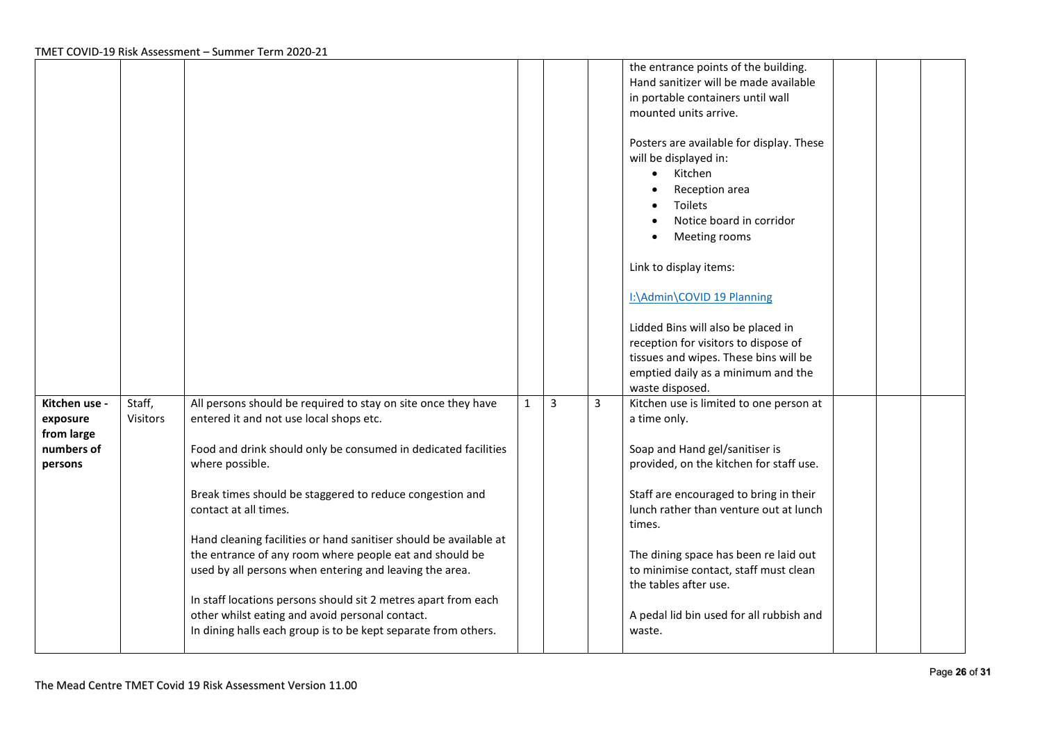|                                                                  |                    |                                                                                                                                                                                                                                                                                                                                                                                                                                                                                                                                                                                                                                                                      |              |                |   | the entrance points of the building.<br>Hand sanitizer will be made available<br>in portable containers until wall<br>mounted units arrive.<br>Posters are available for display. These<br>will be displayed in:<br>Kitchen<br>$\bullet$<br>Reception area<br>Toilets<br>Notice board in corridor<br>Meeting rooms<br>Link to display items:<br>I:\Admin\COVID 19 Planning<br>Lidded Bins will also be placed in<br>reception for visitors to dispose of<br>tissues and wipes. These bins will be<br>emptied daily as a minimum and the<br>waste disposed. |  |
|------------------------------------------------------------------|--------------------|----------------------------------------------------------------------------------------------------------------------------------------------------------------------------------------------------------------------------------------------------------------------------------------------------------------------------------------------------------------------------------------------------------------------------------------------------------------------------------------------------------------------------------------------------------------------------------------------------------------------------------------------------------------------|--------------|----------------|---|------------------------------------------------------------------------------------------------------------------------------------------------------------------------------------------------------------------------------------------------------------------------------------------------------------------------------------------------------------------------------------------------------------------------------------------------------------------------------------------------------------------------------------------------------------|--|
| Kitchen use -<br>exposure<br>from large<br>numbers of<br>persons | Staff,<br>Visitors | All persons should be required to stay on site once they have<br>entered it and not use local shops etc.<br>Food and drink should only be consumed in dedicated facilities<br>where possible.<br>Break times should be staggered to reduce congestion and<br>contact at all times.<br>Hand cleaning facilities or hand sanitiser should be available at<br>the entrance of any room where people eat and should be<br>used by all persons when entering and leaving the area.<br>In staff locations persons should sit 2 metres apart from each<br>other whilst eating and avoid personal contact.<br>In dining halls each group is to be kept separate from others. | $\mathbf{1}$ | $\overline{3}$ | 3 | Kitchen use is limited to one person at<br>a time only.<br>Soap and Hand gel/sanitiser is<br>provided, on the kitchen for staff use.<br>Staff are encouraged to bring in their<br>lunch rather than venture out at lunch<br>times.<br>The dining space has been re laid out<br>to minimise contact, staff must clean<br>the tables after use.<br>A pedal lid bin used for all rubbish and<br>waste.                                                                                                                                                        |  |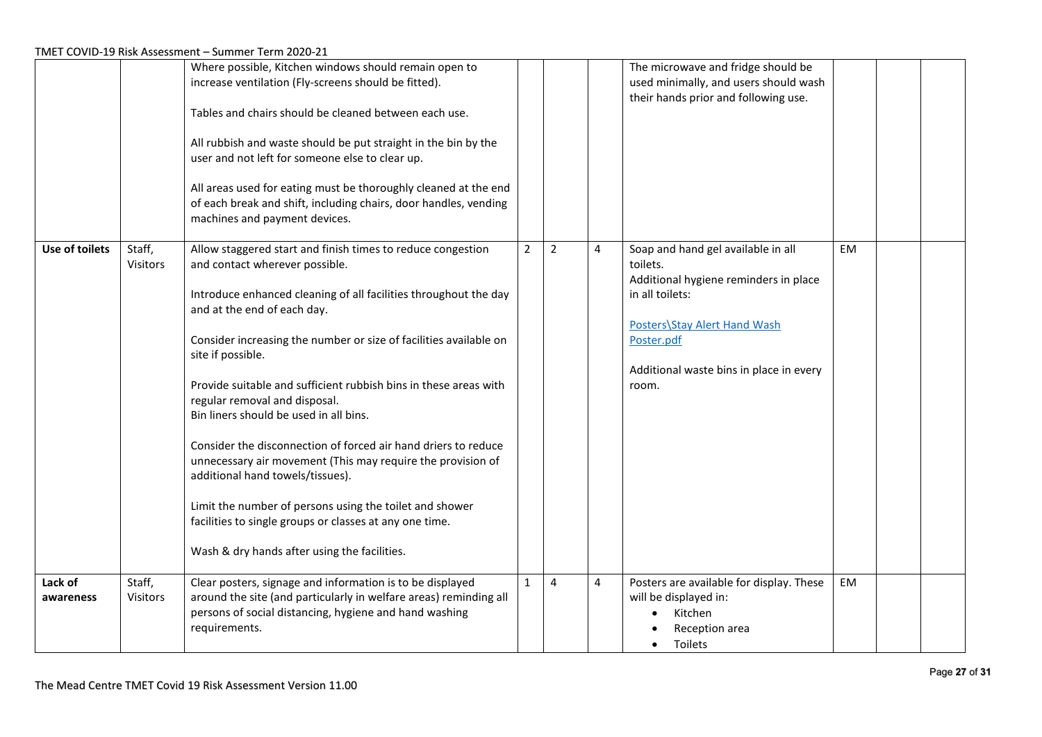|                       |                    | Where possible, Kitchen windows should remain open to<br>increase ventilation (Fly-screens should be fitted).<br>Tables and chairs should be cleaned between each use.<br>All rubbish and waste should be put straight in the bin by the<br>user and not left for someone else to clear up.<br>All areas used for eating must be thoroughly cleaned at the end<br>of each break and shift, including chairs, door handles, vending<br>machines and payment devices.                                                                                                                                                                                                                                                                                                                  |                |                |   | The microwave and fridge should be<br>used minimally, and users should wash<br>their hands prior and following use.                                                                                          |     |  |
|-----------------------|--------------------|--------------------------------------------------------------------------------------------------------------------------------------------------------------------------------------------------------------------------------------------------------------------------------------------------------------------------------------------------------------------------------------------------------------------------------------------------------------------------------------------------------------------------------------------------------------------------------------------------------------------------------------------------------------------------------------------------------------------------------------------------------------------------------------|----------------|----------------|---|--------------------------------------------------------------------------------------------------------------------------------------------------------------------------------------------------------------|-----|--|
| <b>Use of toilets</b> | Staff,<br>Visitors | Allow staggered start and finish times to reduce congestion<br>and contact wherever possible.<br>Introduce enhanced cleaning of all facilities throughout the day<br>and at the end of each day.<br>Consider increasing the number or size of facilities available on<br>site if possible.<br>Provide suitable and sufficient rubbish bins in these areas with<br>regular removal and disposal.<br>Bin liners should be used in all bins.<br>Consider the disconnection of forced air hand driers to reduce<br>unnecessary air movement (This may require the provision of<br>additional hand towels/tissues).<br>Limit the number of persons using the toilet and shower<br>facilities to single groups or classes at any one time.<br>Wash & dry hands after using the facilities. | $\overline{2}$ | $\overline{2}$ | 4 | Soap and hand gel available in all<br>toilets.<br>Additional hygiene reminders in place<br>in all toilets:<br>Posters\Stay Alert Hand Wash<br>Poster.pdf<br>Additional waste bins in place in every<br>room. | EM. |  |
| Lack of<br>awareness  | Staff,<br>Visitors | Clear posters, signage and information is to be displayed<br>around the site (and particularly in welfare areas) reminding all<br>persons of social distancing, hygiene and hand washing<br>requirements.                                                                                                                                                                                                                                                                                                                                                                                                                                                                                                                                                                            | $\mathbf{1}$   | 4              | 4 | Posters are available for display. These<br>will be displayed in:<br>Kitchen<br>Reception area<br>Toilets                                                                                                    | EM  |  |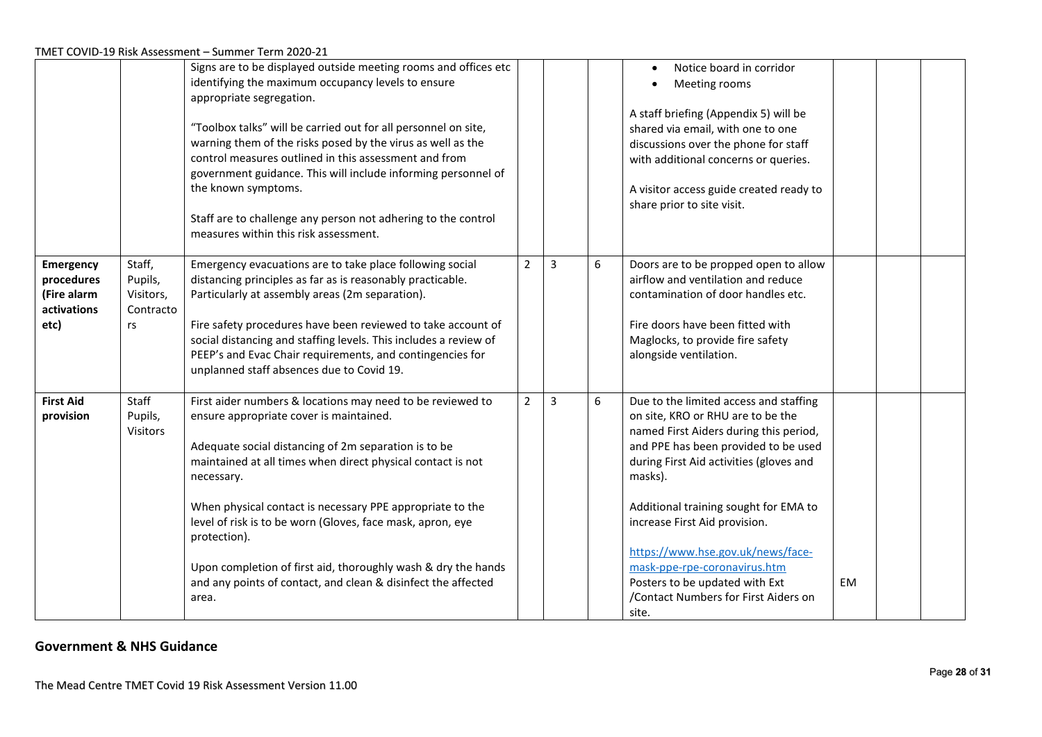|                                                                      |                                                   | Signs are to be displayed outside meeting rooms and offices etc<br>identifying the maximum occupancy levels to ensure<br>appropriate segregation.<br>"Toolbox talks" will be carried out for all personnel on site,<br>warning them of the risks posed by the virus as well as the<br>control measures outlined in this assessment and from<br>government guidance. This will include informing personnel of<br>the known symptoms.<br>Staff are to challenge any person not adhering to the control<br>measures within this risk assessment. |                |                |   | Notice board in corridor<br>Meeting rooms<br>A staff briefing (Appendix 5) will be<br>shared via email, with one to one<br>discussions over the phone for staff<br>with additional concerns or queries.<br>A visitor access guide created ready to<br>share prior to site visit.                                                                                                                                                                      |    |  |
|----------------------------------------------------------------------|---------------------------------------------------|-----------------------------------------------------------------------------------------------------------------------------------------------------------------------------------------------------------------------------------------------------------------------------------------------------------------------------------------------------------------------------------------------------------------------------------------------------------------------------------------------------------------------------------------------|----------------|----------------|---|-------------------------------------------------------------------------------------------------------------------------------------------------------------------------------------------------------------------------------------------------------------------------------------------------------------------------------------------------------------------------------------------------------------------------------------------------------|----|--|
| <b>Emergency</b><br>procedures<br>(Fire alarm<br>activations<br>etc) | Staff,<br>Pupils,<br>Visitors,<br>Contracto<br>rs | Emergency evacuations are to take place following social<br>distancing principles as far as is reasonably practicable.<br>Particularly at assembly areas (2m separation).<br>Fire safety procedures have been reviewed to take account of<br>social distancing and staffing levels. This includes a review of<br>PEEP's and Evac Chair requirements, and contingencies for<br>unplanned staff absences due to Covid 19.                                                                                                                       | $\overline{2}$ | $\overline{3}$ | 6 | Doors are to be propped open to allow<br>airflow and ventilation and reduce<br>contamination of door handles etc.<br>Fire doors have been fitted with<br>Maglocks, to provide fire safety<br>alongside ventilation.                                                                                                                                                                                                                                   |    |  |
| <b>First Aid</b><br>provision                                        | Staff<br>Pupils,<br><b>Visitors</b>               | First aider numbers & locations may need to be reviewed to<br>ensure appropriate cover is maintained.<br>Adequate social distancing of 2m separation is to be<br>maintained at all times when direct physical contact is not<br>necessary.<br>When physical contact is necessary PPE appropriate to the<br>level of risk is to be worn (Gloves, face mask, apron, eye<br>protection).<br>Upon completion of first aid, thoroughly wash & dry the hands<br>and any points of contact, and clean & disinfect the affected<br>area.              | $\overline{2}$ | 3              | 6 | Due to the limited access and staffing<br>on site, KRO or RHU are to be the<br>named First Aiders during this period,<br>and PPE has been provided to be used<br>during First Aid activities (gloves and<br>masks).<br>Additional training sought for EMA to<br>increase First Aid provision.<br>https://www.hse.gov.uk/news/face-<br>mask-ppe-rpe-coronavirus.htm<br>Posters to be updated with Ext<br>/Contact Numbers for First Aiders on<br>site. | EM |  |

# **Government & NHS Guidance**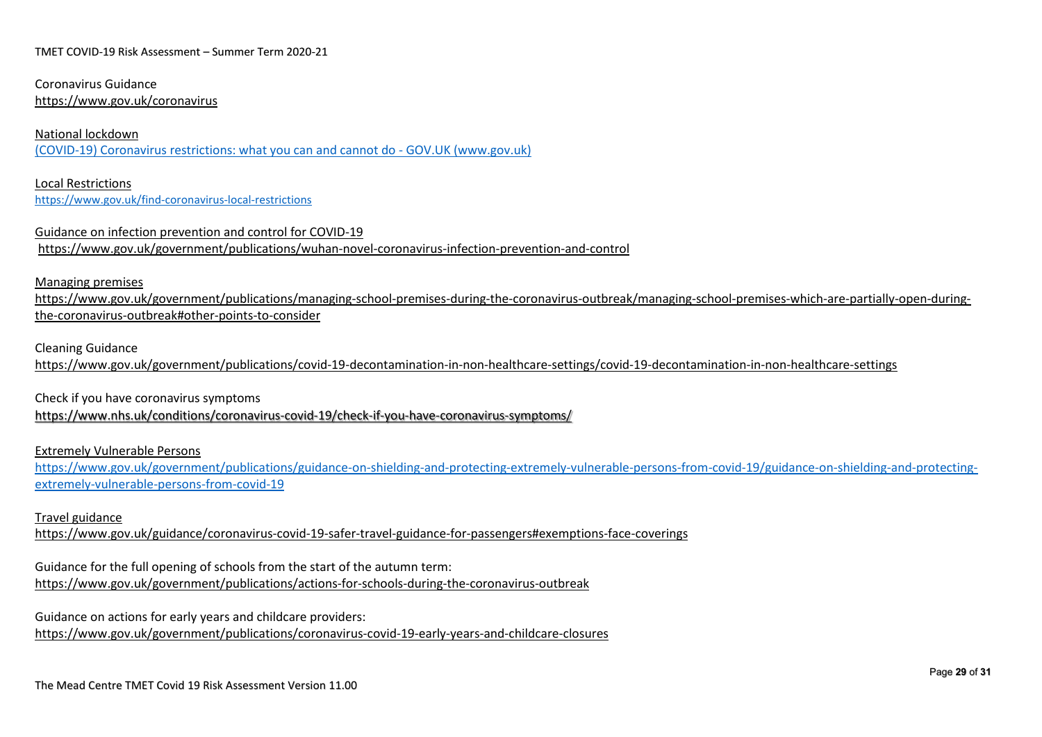Coronavirus Guidance <https://www.gov.uk/coronavirus>

#### National lockdown

[\(COVID-19\) Coronavirus restrictions: what you can and cannot do -](https://www.gov.uk/guidance/covid-19-coronavirus-restrictions-what-you-can-and-cannot-do#going-to-work) GOV.UK (www.gov.uk)

Local Restrictions <https://www.gov.uk/find-coronavirus-local-restrictions>

Guidance on infection prevention and control for COVID-19 <https://www.gov.uk/government/publications/wuhan-novel-coronavirus-infection-prevention-and-control>

#### Managing premises

[https://www.gov.uk/government/publications/managing-school-premises-during-the-coronavirus-outbreak/managing-school-premises-which-are-partially-open-during](https://www.gov.uk/government/publications/managing-school-premises-during-the-coronavirus-outbreak/managing-school-premises-which-are-partially-open-during-the-coronavirus-outbreak#other-points-to-consider)[the-coronavirus-outbreak#other-points-to-consider](https://www.gov.uk/government/publications/managing-school-premises-during-the-coronavirus-outbreak/managing-school-premises-which-are-partially-open-during-the-coronavirus-outbreak#other-points-to-consider)

### Cleaning Guidance

<https://www.gov.uk/government/publications/covid-19-decontamination-in-non-healthcare-settings/covid-19-decontamination-in-non-healthcare-settings>

Check if you have coronavirus symptoms

<https://www.nhs.uk/conditions/coronavirus-covid-19/check-if-you-have-coronavirus-symptoms/>

Extremely Vulnerable Persons

[https://www.gov.uk/government/publications/guidance-on-shielding-and-protecting-extremely-vulnerable-persons-from-covid-19/guidance-on-shielding-and-protecting](https://www.gov.uk/government/publications/guidance-on-shielding-and-protecting-extremely-vulnerable-persons-from-covid-19/guidance-on-shielding-and-protecting-extremely-vulnerable-persons-from-covid-19)[extremely-vulnerable-persons-from-covid-19](https://www.gov.uk/government/publications/guidance-on-shielding-and-protecting-extremely-vulnerable-persons-from-covid-19/guidance-on-shielding-and-protecting-extremely-vulnerable-persons-from-covid-19)

#### Travel guidance

<https://www.gov.uk/guidance/coronavirus-covid-19-safer-travel-guidance-for-passengers#exemptions-face-coverings>

Guidance for the full opening of schools from the start of the autumn term: <https://www.gov.uk/government/publications/actions-for-schools-during-the-coronavirus-outbreak>

Guidance on actions for early years and childcare providers:

<https://www.gov.uk/government/publications/coronavirus-covid-19-early-years-and-childcare-closures>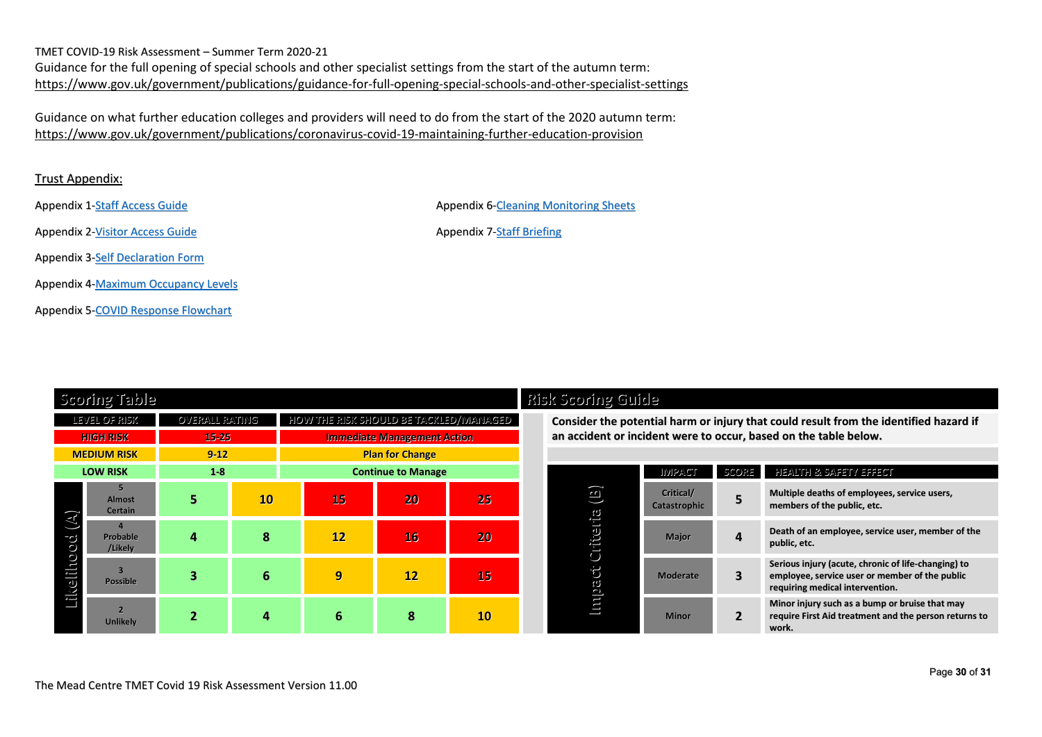TMET COVID-19 Risk Assessment – Summer Term 2020-21 Guidance for the full opening of special schools and other specialist settings from the start of the autumn term: <https://www.gov.uk/government/publications/guidance-for-full-opening-special-schools-and-other-specialist-settings>

Guidance on what further education colleges and providers will need to do from the start of the 2020 autumn term: <https://www.gov.uk/government/publications/coronavirus-covid-19-maintaining-further-education-provision>

# Trust Appendix:

Appendix 1-Staff [Access](file://tmet-fs01/TMET_Central_Support$/Admin/COVID%2019%20Planning/Flow%20Charts,%20Guides,%20Training/The%20Mead%20Centre%20Staff%20Access%20Guide-TMET%20%20v8.0.docx.pdf) Guide Appendix 6-Cleaning [Monitoring](file://tmet-fs01/TMET_Central_Support$/Admin/COVID%2019%20Planning/Templates/The%20Mead%20Centre%20Cleaning%20Monitoring%20System.docx) Sheets

Appendix 2[-Visitor](file://tmet-fs01/TMET_Central_Support$/Admin/COVID%2019%20Planning/Flow%20Charts,%20Guides,%20Training/The%20Mead%20Centre%20Visitor%20Access%20Guide-TMET%20%20v11.0.pdf) Access Guide Appendix 7-Staff [Briefing](file://tmet-fs01/TMET_Central_Support$/Admin/COVID%2019%20Planning/Flow%20Charts,%20Guides,%20Training/Staff%20Briefing%20regarding%20TMC%20Safety%20Protocols%20V3.0.pptx)

Appendix 3-Self [Declaration](file://tmet-fs01/TMET_Central_Support$/Admin/COVID%2019%20Planning/Templates/TMET%20Visitors%20%20Contractors%20COVID-19%20Declaration%20Form.docx) Form

Appendix 4[-Maximum](file://tmet-fs01/TMET_Central_Support$/Admin/COVID%2019%20Planning/Flow%20Charts,%20Guides,%20Training/TMC%20Maximum%20Occupancy%20Levels.docx) Occupancy Levels

Appendix 5-COVID Response [Flowchart](file://tmet-fs01/TMET_Central_Support$/Admin/COVID%2019%20Planning/Flow%20Charts,%20Guides,%20Training/Flow%20Chart%20-%20School%20Response%20to%20Reported%20or%20Confirmed%20Case%20of%20COVID-19.pdf)

**Scoring Table Risk Scoring Guide** LEVEL OF RISK OVERALL RATING HOW THE RISK SHOULD BE TACKLED/MANAGED **Consider the potential harm or injury that could result from the identified hazard if** HIGH RISK 15-25 15-25 Immediate Management Action and an accident or incident were to occur, based on the table below. **MEDIUM RISK 9-12 Plan for Change LOW RISK 1-8 Continue to Manage Im pact Criteria (B) Lik elih o o d (A) 5 Almost Certain 5 10 15 20 25 Critical/ 4 Probable /Likely 4 8 12 16 20 Major 4 Death of an employee, service user, member of the** <sup>3</sup><br>Possible **Possible 3 6 9 12 15 Moderate 3 2 Unlikely 2 4 6 8 10 Minor 2**

|                         | <b>IMPACT</b>             | SCORE          | HEALTH & SAFETY EFFECT                                                                                                                   |
|-------------------------|---------------------------|----------------|------------------------------------------------------------------------------------------------------------------------------------------|
| $\Xi)$                  | Critical/<br>Catastrophic | 5              | Multiple deaths of employees, service users,<br>members of the public, etc.                                                              |
| Critteria<br>Ö<br>rulag | <b>Major</b>              |                | Death of an employee, service user, member of the<br>public, etc.                                                                        |
|                         | <b>Moderate</b>           | З              | Serious injury (acute, chronic of life-changing) to<br>employee, service user or member of the public<br>requiring medical intervention. |
|                         | <b>Minor</b>              | $\overline{2}$ | Minor injury such as a bump or bruise that may<br>require First Aid treatment and the person returns to<br>work.                         |